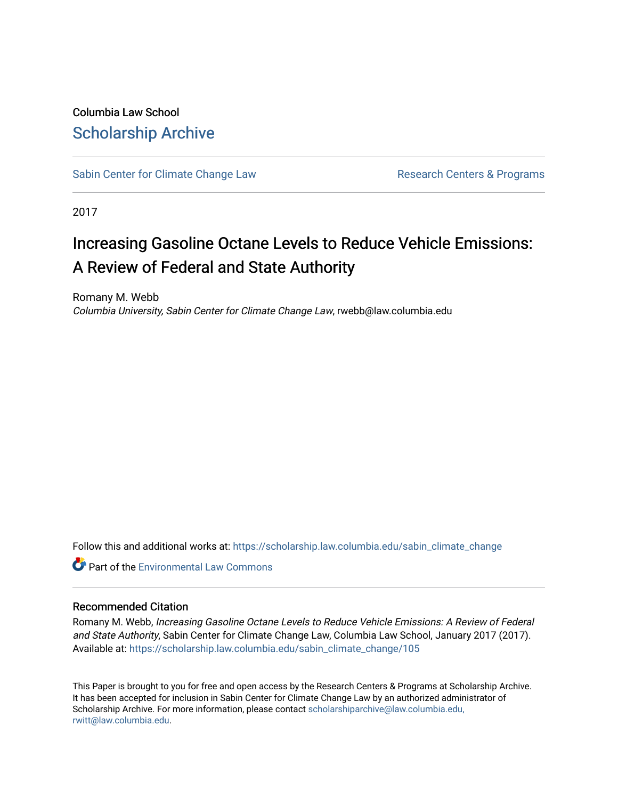Columbia Law School [Scholarship Archive](https://scholarship.law.columbia.edu/) 

[Sabin Center for Climate Change Law](https://scholarship.law.columbia.edu/sabin_climate_change) Research Centers & Programs

2017

# Increasing Gasoline Octane Levels to Reduce Vehicle Emissions: A Review of Federal and State Authority

Romany M. Webb Columbia University, Sabin Center for Climate Change Law, rwebb@law.columbia.edu

Follow this and additional works at: [https://scholarship.law.columbia.edu/sabin\\_climate\\_change](https://scholarship.law.columbia.edu/sabin_climate_change?utm_source=scholarship.law.columbia.edu%2Fsabin_climate_change%2F105&utm_medium=PDF&utm_campaign=PDFCoverPages) 

**C** Part of the [Environmental Law Commons](http://network.bepress.com/hgg/discipline/599?utm_source=scholarship.law.columbia.edu%2Fsabin_climate_change%2F105&utm_medium=PDF&utm_campaign=PDFCoverPages)

#### Recommended Citation

Romany M. Webb, Increasing Gasoline Octane Levels to Reduce Vehicle Emissions: A Review of Federal and State Authority, Sabin Center for Climate Change Law, Columbia Law School, January 2017 (2017). Available at: [https://scholarship.law.columbia.edu/sabin\\_climate\\_change/105](https://scholarship.law.columbia.edu/sabin_climate_change/105?utm_source=scholarship.law.columbia.edu%2Fsabin_climate_change%2F105&utm_medium=PDF&utm_campaign=PDFCoverPages) 

This Paper is brought to you for free and open access by the Research Centers & Programs at Scholarship Archive. It has been accepted for inclusion in Sabin Center for Climate Change Law by an authorized administrator of Scholarship Archive. For more information, please contact [scholarshiparchive@law.columbia.edu,](mailto:scholarshiparchive@law.columbia.edu,%20rwitt@law.columbia.edu) [rwitt@law.columbia.edu.](mailto:scholarshiparchive@law.columbia.edu,%20rwitt@law.columbia.edu)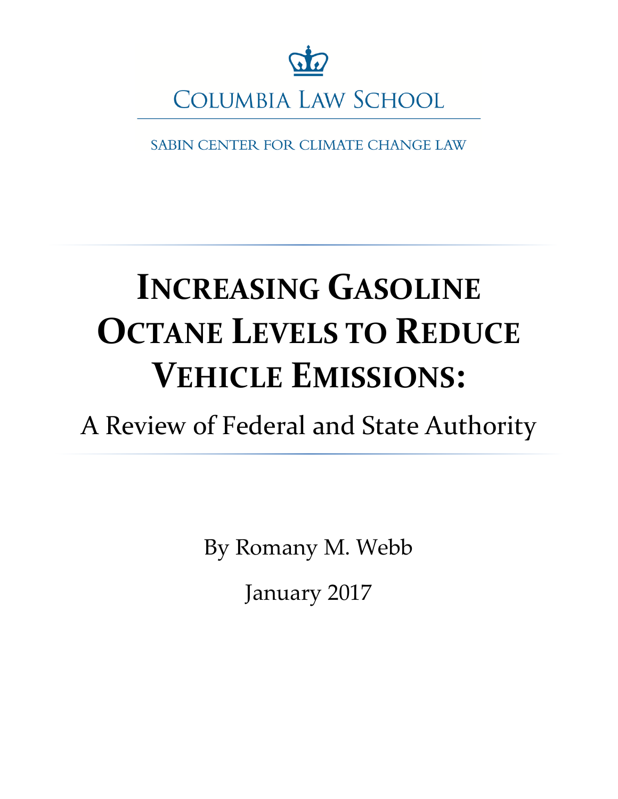

SABIN CENTER FOR CLIMATE CHANGE LAW

# **INCREASING GASOLINE OCTANE LEVELS TO REDUCE VEHICLE EMISSIONS:**

A Review of Federal and State Authority

By Romany M. Webb January 2017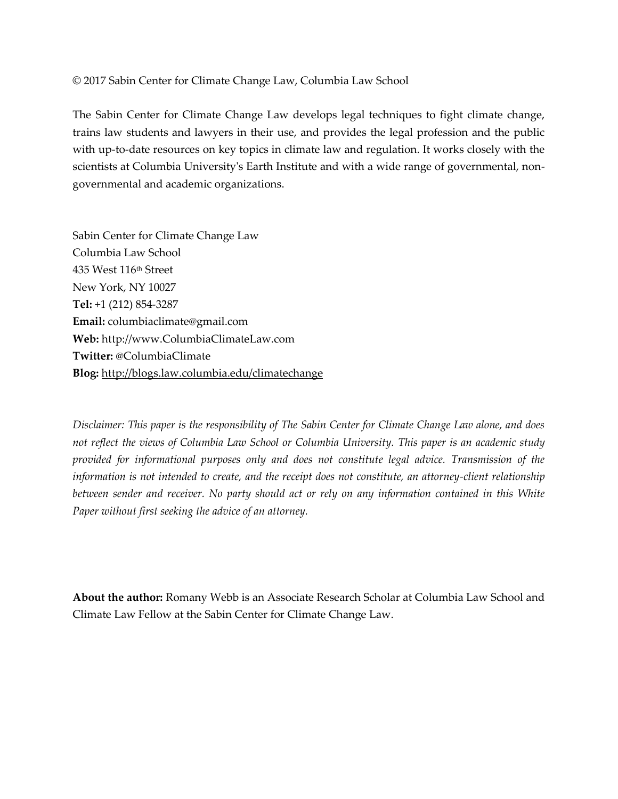#### © 2017 Sabin Center for Climate Change Law, Columbia Law School

The Sabin Center for Climate Change Law develops legal techniques to fight climate change, trains law students and lawyers in their use, and provides the legal profession and the public with up-to-date resources on key topics in climate law and regulation. It works closely with the scientists at Columbia University's Earth Institute and with a wide range of governmental, nongovernmental and academic organizations.

Sabin Center for Climate Change Law Columbia Law School 435 West 116th Street New York, NY 10027 **Tel:** +1 (212) 854-3287 **Email:** columbiaclimate@gmail.com **Web:** http://www.ColumbiaClimateLaw.com **Twitter:** @ColumbiaClimate **Blog:** <http://blogs.law.columbia.edu/climatechange>

*Disclaimer: This paper is the responsibility of The Sabin Center for Climate Change Law alone, and does not reflect the views of Columbia Law School or Columbia University. This paper is an academic study provided for informational purposes only and does not constitute legal advice. Transmission of the information is not intended to create, and the receipt does not constitute, an attorney-client relationship between sender and receiver. No party should act or rely on any information contained in this White Paper without first seeking the advice of an attorney.* 

**About the author:** Romany Webb is an Associate Research Scholar at Columbia Law School and Climate Law Fellow at the Sabin Center for Climate Change Law.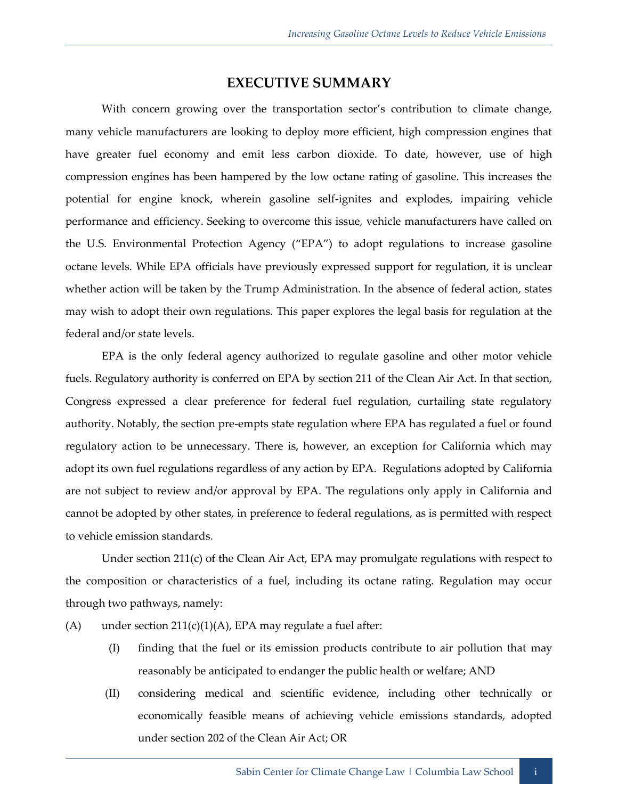## **EXECUTIVE SUMMARY**

With concern growing over the transportation sector's contribution to climate change, many vehicle manufacturers are looking to deploy more efficient, high compression engines that have greater fuel economy and emit less carbon dioxide. To date, however, use of high compression engines has been hampered by the low octane rating of gasoline. This increases the potential for engine knock, wherein gasoline self-ignites and explodes, impairing vehicle performance and efficiency. Seeking to overcome this issue, vehicle manufacturers have called on the U.S. Environmental Protection Agency ("EPA") to adopt regulations to increase gasoline octane levels. While EPA officials have previously expressed support for regulation, it is unclear whether action will be taken by the Trump Administration. In the absence of federal action, states may wish to adopt their own regulations. This paper explores the legal basis for regulation at the federal and/or state levels.

EPA is the only federal agency authorized to regulate gasoline and other motor vehicle fuels. Regulatory authority is conferred on EPA by section 211 of the Clean Air Act. In that section, Congress expressed a clear preference for federal fuel regulation, curtailing state regulatory authority. Notably, the section pre-empts state regulation where EPA has regulated a fuel or found regulatory action to be unnecessary. There is, however, an exception for California which may adopt its own fuel regulations regardless of any action by EPA. Regulations adopted by California are not subject to review and/or approval by EPA. The regulations only apply in California and cannot be adopted by other states, in preference to federal regulations, as is permitted with respect to vehicle emission standards.

Under section 211(c) of the Clean Air Act, EPA may promulgate regulations with respect to the composition or characteristics of a fuel, including its octane rating. Regulation may occur through two pathways, namely:

- (A) under section  $211(c)(1)(A)$ , EPA may regulate a fuel after:
	- (I) finding that the fuel or its emission products contribute to air pollution that may reasonably be anticipated to endanger the public health or welfare; AND
	- (II) considering medical and scientific evidence, including other technically or economically feasible means of achieving vehicle emissions standards, adopted under section 202 of the Clean Air Act; OR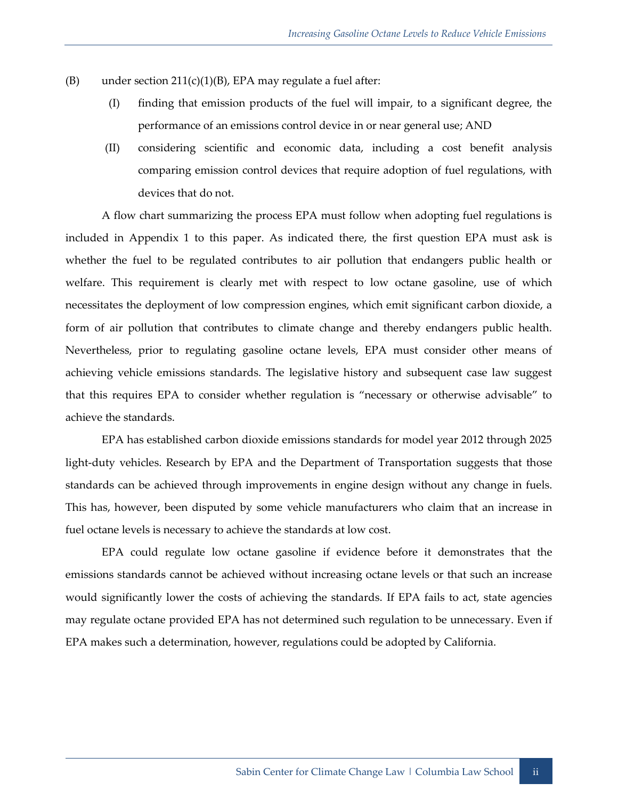- (B) under section  $211(c)(1)(B)$ , EPA may regulate a fuel after:
	- (I) finding that emission products of the fuel will impair, to a significant degree, the performance of an emissions control device in or near general use; AND
	- (II) considering scientific and economic data, including a cost benefit analysis comparing emission control devices that require adoption of fuel regulations, with devices that do not.

A flow chart summarizing the process EPA must follow when adopting fuel regulations is included in Appendix 1 to this paper. As indicated there, the first question EPA must ask is whether the fuel to be regulated contributes to air pollution that endangers public health or welfare. This requirement is clearly met with respect to low octane gasoline, use of which necessitates the deployment of low compression engines, which emit significant carbon dioxide, a form of air pollution that contributes to climate change and thereby endangers public health. Nevertheless, prior to regulating gasoline octane levels, EPA must consider other means of achieving vehicle emissions standards. The legislative history and subsequent case law suggest that this requires EPA to consider whether regulation is "necessary or otherwise advisable" to achieve the standards.

EPA has established carbon dioxide emissions standards for model year 2012 through 2025 light-duty vehicles. Research by EPA and the Department of Transportation suggests that those standards can be achieved through improvements in engine design without any change in fuels. This has, however, been disputed by some vehicle manufacturers who claim that an increase in fuel octane levels is necessary to achieve the standards at low cost.

EPA could regulate low octane gasoline if evidence before it demonstrates that the emissions standards cannot be achieved without increasing octane levels or that such an increase would significantly lower the costs of achieving the standards. If EPA fails to act, state agencies may regulate octane provided EPA has not determined such regulation to be unnecessary. Even if EPA makes such a determination, however, regulations could be adopted by California.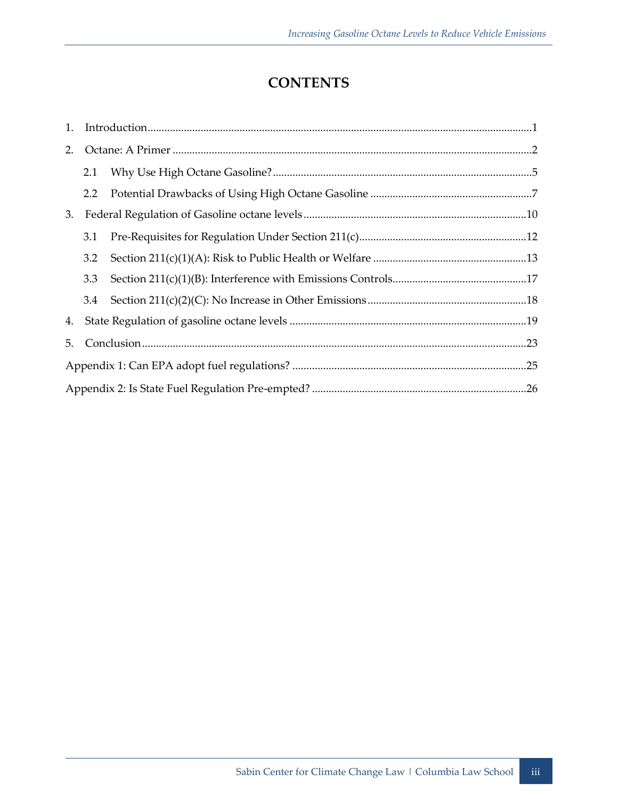## **CONTENTS**

| 1. |     |  |  |  |
|----|-----|--|--|--|
| 2. |     |  |  |  |
|    | 2.1 |  |  |  |
|    | 2.2 |  |  |  |
| 3. |     |  |  |  |
|    | 3.1 |  |  |  |
|    | 3.2 |  |  |  |
|    | 3.3 |  |  |  |
|    | 3.4 |  |  |  |
|    |     |  |  |  |
| 5. |     |  |  |  |
|    |     |  |  |  |
|    |     |  |  |  |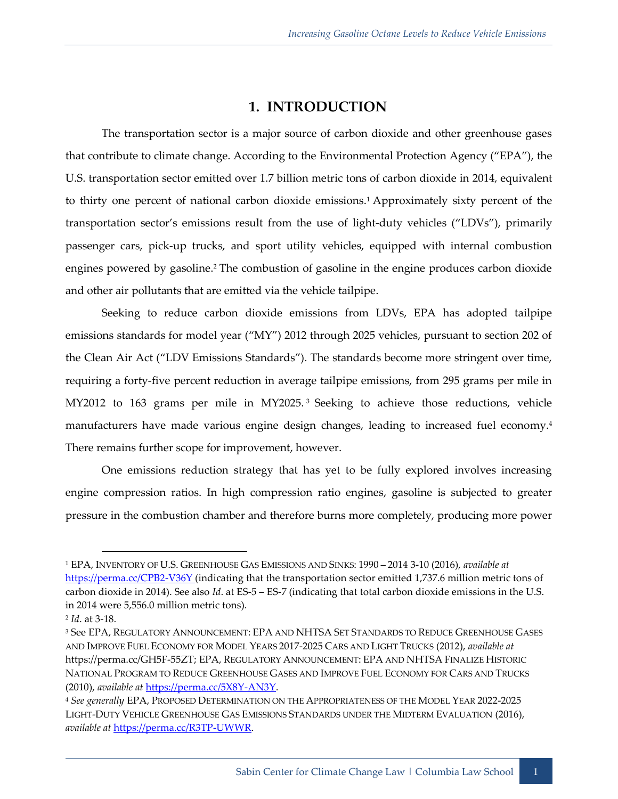## <span id="page-6-1"></span>**1. INTRODUCTION**

<span id="page-6-0"></span>The transportation sector is a major source of carbon dioxide and other greenhouse gases that contribute to climate change. According to the Environmental Protection Agency ("EPA"), the U.S. transportation sector emitted over 1.7 billion metric tons of carbon dioxide in 2014, equivalent to thirty one percent of national carbon dioxide emissions.<sup>1</sup> Approximately sixty percent of the transportation sector's emissions result from the use of light-duty vehicles ("LDVs"), primarily passenger cars, pick-up trucks, and sport utility vehicles, equipped with internal combustion engines powered by gasoline.<sup>2</sup> The combustion of gasoline in the engine produces carbon dioxide and other air pollutants that are emitted via the vehicle tailpipe.

Seeking to reduce carbon dioxide emissions from LDVs, EPA has adopted tailpipe emissions standards for model year ("MY") 2012 through 2025 vehicles, pursuant to section 202 of the Clean Air Act ("LDV Emissions Standards"). The standards become more stringent over time, requiring a forty-five percent reduction in average tailpipe emissions, from 295 grams per mile in MY2012 to 163 grams per mile in MY2025. <sup>3</sup> Seeking to achieve those reductions, vehicle manufacturers have made various engine design changes, leading to increased fuel economy.<sup>4</sup> There remains further scope for improvement, however.

One emissions reduction strategy that has yet to be fully explored involves increasing engine compression ratios. In high compression ratio engines, gasoline is subjected to greater pressure in the combustion chamber and therefore burns more completely, producing more power

<sup>1</sup> EPA, INVENTORY OF U.S. GREENHOUSE GAS EMISSIONS AND SINKS: 1990 – 2014 3-10 (2016), *available at* [https://perma.cc/CPB2-V36Y \(](https://perma.cc/CPB2-V36Y)indicating that the transportation sector emitted 1,737.6 million metric tons of carbon dioxide in 2014). See also *Id*. at ES-5 – ES-7 (indicating that total carbon dioxide emissions in the U.S. in 2014 were 5,556.0 million metric tons).

<sup>2</sup> *Id*. at 3-18.

<sup>3</sup> See EPA, REGULATORY ANNOUNCEMENT: EPA AND NHTSA SET STANDARDS TO REDUCE GREENHOUSE GASES AND IMPROVE FUEL ECONOMY FOR MODEL YEARS 2017-2025 CARS AND LIGHT TRUCKS (2012), *available at*  https://perma.cc/GH5F-55ZT; EPA, REGULATORY ANNOUNCEMENT: EPA AND NHTSA FINALIZE HISTORIC NATIONAL PROGRAM TO REDUCE GREENHOUSE GASES AND IMPROVE FUEL ECONOMY FOR CARS AND TRUCKS (2010), *available at* [https://perma.cc/5X8Y-AN3Y.](https://perma.cc/5X8Y-AN3Y) 

<sup>4</sup> *See generally* EPA, PROPOSED DETERMINATION ON THE APPROPRIATENESS OF THE MODEL YEAR 2022-2025 LIGHT-DUTY VEHICLE GREENHOUSE GAS EMISSIONS STANDARDS UNDER THE MIDTERM EVALUATION (2016), *available at* [https://perma.cc/R3TP-UWWR.](https://perma.cc/R3TP-UWWR)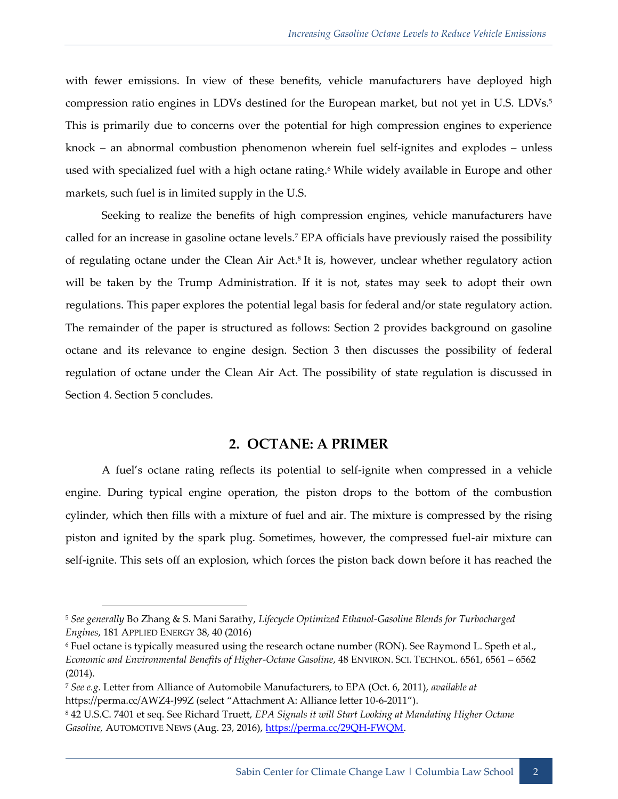with fewer emissions. In view of these benefits, vehicle manufacturers have deployed high compression ratio engines in LDVs destined for the European market, but not yet in U.S. LDVs. 5 This is primarily due to concerns over the potential for high compression engines to experience knock – an abnormal combustion phenomenon wherein fuel self-ignites and explodes – unless used with specialized fuel with a high octane rating.<sup>6</sup> While widely available in Europe and other markets, such fuel is in limited supply in the U.S.

<span id="page-7-1"></span>Seeking to realize the benefits of high compression engines, vehicle manufacturers have called for an increase in gasoline octane levels.<sup>7</sup> EPA officials have previously raised the possibility of regulating octane under the Clean Air Act. 8 It is, however, unclear whether regulatory action will be taken by the Trump Administration. If it is not, states may seek to adopt their own regulations. This paper explores the potential legal basis for federal and/or state regulatory action. The remainder of the paper is structured as follows: Section 2 provides background on gasoline octane and its relevance to engine design. Section 3 then discusses the possibility of federal regulation of octane under the Clean Air Act. The possibility of state regulation is discussed in Section 4. Section 5 concludes.

#### <span id="page-7-2"></span>**2. OCTANE: A PRIMER**

<span id="page-7-0"></span>A fuel's octane rating reflects its potential to self-ignite when compressed in a vehicle engine. During typical engine operation, the piston drops to the bottom of the combustion cylinder, which then fills with a mixture of fuel and air. The mixture is compressed by the rising piston and ignited by the spark plug. Sometimes, however, the compressed fuel-air mixture can self-ignite. This sets off an explosion, which forces the piston back down before it has reached the

<sup>5</sup> *See generally* Bo Zhang & S. Mani Sarathy, *Lifecycle Optimized Ethanol-Gasoline Blends for Turbocharged Engines*, 181 APPLIED ENERGY 38, 40 (2016)

<sup>6</sup> Fuel octane is typically measured using the research octane number (RON). See Raymond L. Speth et al., *Economic and Environmental Benefits of Higher-Octane Gasoline*, 48 ENVIRON. SCI. TECHNOL. 6561, 6561 – 6562 (2014).

<sup>7</sup> *See e.g.* Letter from Alliance of Automobile Manufacturers, to EPA (Oct. 6, 2011), *available at*  https://perma.cc/AWZ4-J99Z (select "Attachment A: Alliance letter 10-6-2011").

<sup>8</sup> 42 U.S.C. 7401 et seq. See Richard Truett, *EPA Signals it will Start Looking at Mandating Higher Octane Gasoline,* AUTOMOTIVE NEWS (Aug. 23, 2016), [https://perma.cc/29QH-FWQM.](https://perma.cc/29QH-FWQM)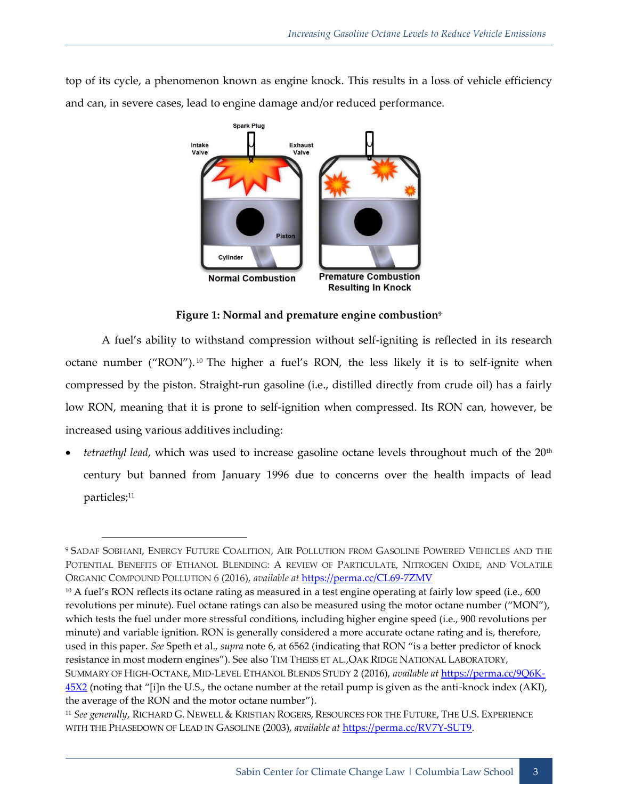top of its cycle, a phenomenon known as engine knock. This results in a loss of vehicle efficiency and can, in severe cases, lead to engine damage and/or reduced performance.



<span id="page-8-1"></span><span id="page-8-0"></span>**Figure 1: Normal and premature engine combustion<sup>9</sup>**

A fuel's ability to withstand compression without self-igniting is reflected in its research octane number ("RON").<sup>10</sup> The higher a fuel's RON, the less likely it is to self-ignite when compressed by the piston. Straight-run gasoline (i.e., distilled directly from crude oil) has a fairly low RON, meaning that it is prone to self-ignition when compressed. Its RON can, however, be increased using various additives including:

*tetraethyl lead*, which was used to increase gasoline octane levels throughout much of the 20<sup>th</sup> century but banned from January 1996 due to concerns over the health impacts of lead particles;<sup>11</sup>

<sup>9</sup> SADAF SOBHANI, ENERGY FUTURE COALITION, AIR POLLUTION FROM GASOLINE POWERED VEHICLES AND THE POTENTIAL BENEFITS OF ETHANOL BLENDING: A REVIEW OF PARTICULATE, NITROGEN OXIDE, AND VOLATILE ORGANIC COMPOUND POLLUTION 6 (2016), *available at* <https://perma.cc/CL69-7ZMV>

<sup>&</sup>lt;sup>10</sup> A fuel's RON reflects its octane rating as measured in a test engine operating at fairly low speed (i.e., 600 revolutions per minute). Fuel octane ratings can also be measured using the motor octane number ("MON"), which tests the fuel under more stressful conditions, including higher engine speed (i.e., 900 revolutions per minute) and variable ignition. RON is generally considered a more accurate octane rating and is, therefore, used in this paper. *See* Speth et al., *supra* not[e 6](#page-7-1), at 6562 (indicating that RON "is a better predictor of knock resistance in most modern engines"). See also TIM THEISS ET AL.,OAK RIDGE NATIONAL LABORATORY, SUMMARY OF HIGH-OCTANE, MID-LEVEL ETHANOL BLENDS STUDY 2 (2016), *available at* [https://perma.cc/9Q6K-](https://perma.cc/9Q6K-45X2)[45X2](https://perma.cc/9Q6K-45X2) (noting that "[i]n the U.S., the octane number at the retail pump is given as the anti-knock index (AKI), the average of the RON and the motor octane number").

<sup>11</sup> *See generally*, RICHARD G. NEWELL & KRISTIAN ROGERS, RESOURCES FOR THE FUTURE, THE U.S. EXPERIENCE WITH THE PHASEDOWN OF LEAD IN GASOLINE (2003), *available at* [https://perma.cc/RV7Y-SUT9.](https://perma.cc/RV7Y-SUT9)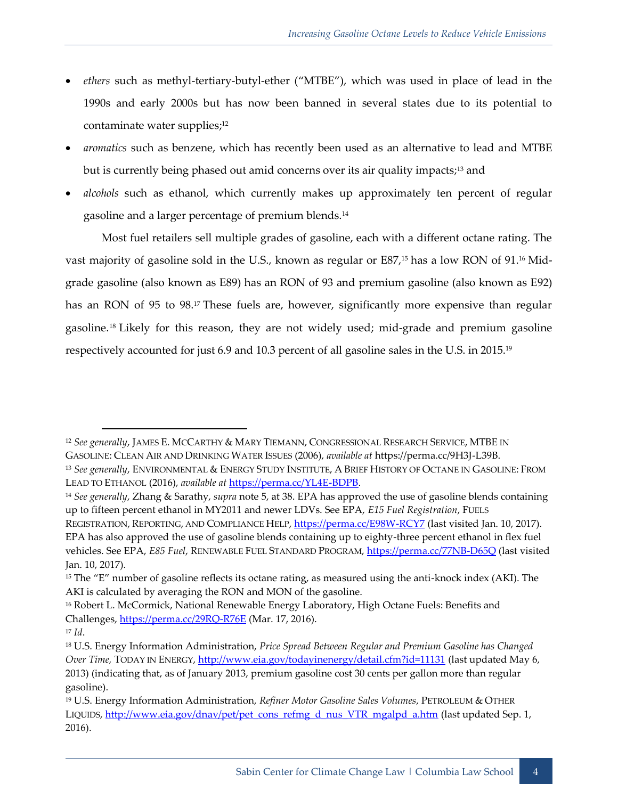- *ethers* such as methyl-tertiary-butyl-ether ("MTBE"), which was used in place of lead in the 1990s and early 2000s but has now been banned in several states due to its potential to contaminate water supplies;<sup>12</sup>
- *aromatics* such as benzene, which has recently been used as an alternative to lead and MTBE but is currently being phased out amid concerns over its air quality impacts;<sup>13</sup> and
- *alcohols* such as ethanol, which currently makes up approximately ten percent of regular gasoline and a larger percentage of premium blends.<sup>14</sup>

Most fuel retailers sell multiple grades of gasoline, each with a different octane rating. The vast majority of gasoline sold in the U.S., known as regular or E87,<sup>15</sup> has a low RON of 91.<sup>16</sup> Midgrade gasoline (also known as E89) has an RON of 93 and premium gasoline (also known as E92) has an RON of 95 to 98. <sup>17</sup> These fuels are, however, significantly more expensive than regular gasoline.<sup>18</sup> Likely for this reason, they are not widely used; mid-grade and premium gasoline respectively accounted for just 6.9 and 10.3 percent of all gasoline sales in the U.S. in 2015.<sup>19</sup>

-

<sup>12</sup> *See generally*, JAMES E. MCCARTHY & MARY TIEMANN, CONGRESSIONAL RESEARCH SERVICE, MTBE IN GASOLINE: CLEAN AIR AND DRINKING WATER ISSUES (2006), *available at* [https://perma.cc/9H3J-L39B.](https://perma.cc/9H3J-L39B) <sup>13</sup> *See generally*, ENVIRONMENTAL & ENERGY STUDY INSTITUTE, A BRIEF HISTORY OF OCTANE IN GASOLINE: FROM LEAD TO ETHANOL (2016), *available at* [https://perma.cc/YL4E-BDPB.](https://perma.cc/YL4E-BDPB)

<sup>14</sup> *See generally*, Zhang & Sarathy, *supra* note [5,](#page-7-2) at 38. EPA has approved the use of gasoline blends containing up to fifteen percent ethanol in MY2011 and newer LDVs. See EPA, *E15 Fuel Registration*, FUELS REGISTRATION, REPORTING, AND COMPLIANCE HELP[, https://perma.cc/E98W-RCY7](https://perma.cc/E98W-RCY7) (last visited Jan. 10, 2017). EPA has also approved the use of gasoline blends containing up to eighty-three percent ethanol in flex fuel

vehicles. See EPA, *E85 Fuel*, RENEWABLE FUEL STANDARD PROGRAM[, https://perma.cc/77NB-D65Q](https://perma.cc/77NB-D65Q) (last visited Jan. 10, 2017).

<sup>15</sup> The "E" number of gasoline reflects its octane rating, as measured using the anti-knock index (AKI). The AKI is calculated by averaging the RON and MON of the gasoline.

<sup>16</sup> Robert L. McCormick, National Renewable Energy Laboratory, High Octane Fuels: Benefits and Challenges, <https://perma.cc/29RQ-R76E> (Mar. 17, 2016).

<sup>17</sup> *Id*.

<sup>18</sup> U.S. Energy Information Administration, *Price Spread Between Regular and Premium Gasoline has Changed Over Time,* TODAY IN ENERGY,<http://www.eia.gov/todayinenergy/detail.cfm?id=11131> (last updated May 6, 2013) (indicating that, as of January 2013, premium gasoline cost 30 cents per gallon more than regular gasoline).

<sup>19</sup> U.S. Energy Information Administration, *Refiner Motor Gasoline Sales Volumes*, PETROLEUM & OTHER LIQUIDS, [http://www.eia.gov/dnav/pet/pet\\_cons\\_refmg\\_d\\_nus\\_VTR\\_mgalpd\\_a.htm](http://www.eia.gov/dnav/pet/pet_cons_refmg_d_nus_VTR_mgalpd_a.htm) (last updated Sep. 1, 2016).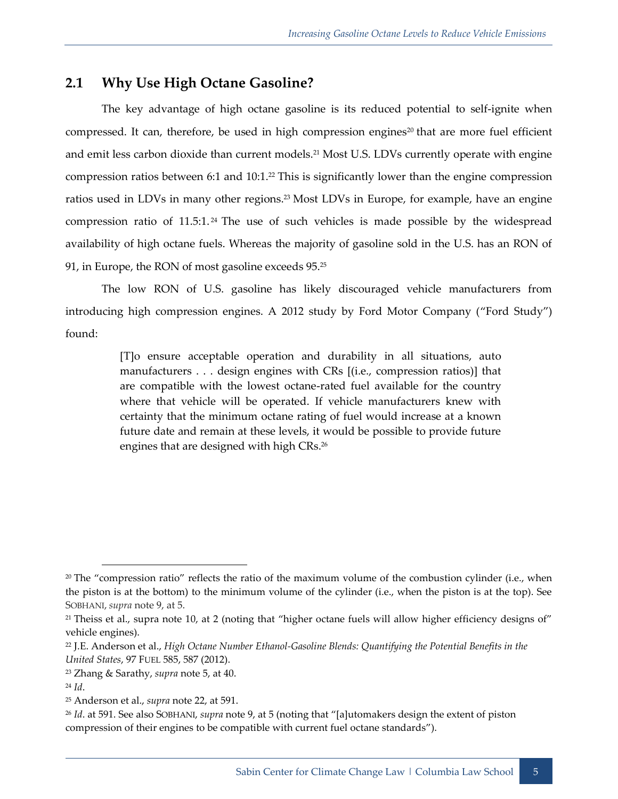## <span id="page-10-0"></span>**2.1 Why Use High Octane Gasoline?**

<span id="page-10-1"></span>The key advantage of high octane gasoline is its reduced potential to self-ignite when compressed. It can, therefore, be used in high compression engines<sup>20</sup> that are more fuel efficient and emit less carbon dioxide than current models.<sup>21</sup> Most U.S. LDVs currently operate with engine compression ratios between 6:1 and 10:1.<sup>22</sup> This is significantly lower than the engine compression ratios used in LDVs in many other regions. <sup>23</sup> Most LDVs in Europe, for example, have an engine compression ratio of 11.5:1. <sup>24</sup> The use of such vehicles is made possible by the widespread availability of high octane fuels. Whereas the majority of gasoline sold in the U.S. has an RON of 91, in Europe, the RON of most gasoline exceeds 95.<sup>25</sup>

The low RON of U.S. gasoline has likely discouraged vehicle manufacturers from introducing high compression engines. A 2012 study by Ford Motor Company ("Ford Study") found:

> [T]o ensure acceptable operation and durability in all situations, auto manufacturers . . . design engines with CRs [(i.e., compression ratios)] that are compatible with the lowest octane-rated fuel available for the country where that vehicle will be operated. If vehicle manufacturers knew with certainty that the minimum octane rating of fuel would increase at a known future date and remain at these levels, it would be possible to provide future engines that are designed with high CRs. 26

<sup>&</sup>lt;sup>20</sup> The "compression ratio" reflects the ratio of the maximum volume of the combustion cylinder (i.e., when the piston is at the bottom) to the minimum volume of the cylinder (i.e., when the piston is at the top). See SOBHANI, *supra* note [9,](#page-8-0) at 5.

<sup>&</sup>lt;sup>21</sup> Theiss et al., supra note [10](#page-8-1), at 2 (noting that "higher octane fuels will allow higher efficiency designs of" vehicle engines).

<sup>22</sup> J.E. Anderson et al., *High Octane Number Ethanol-Gasoline Blends: Quantifying the Potential Benefits in the United States*, 97 FUEL 585, 587 (2012).

<sup>23</sup> Zhang & Sarathy, *supra* note [5,](#page-7-2) at 40.

<sup>24</sup> *Id*.

<sup>25</sup> Anderson et al., *supra* note [22,](#page-10-1) at 591.

<sup>26</sup> *Id*. at 591. See also SOBHANI, *supra* not[e 9](#page-8-0), at 5 (noting that "[a]utomakers design the extent of piston compression of their engines to be compatible with current fuel octane standards").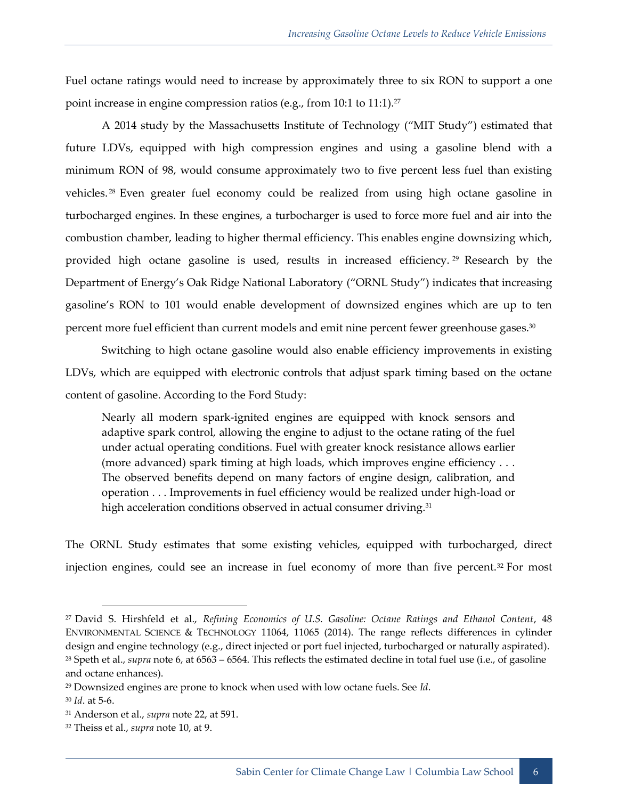Fuel octane ratings would need to increase by approximately three to six RON to support a one point increase in engine compression ratios (e.g., from 10:1 to 11:1).<sup>27</sup>

A 2014 study by the Massachusetts Institute of Technology ("MIT Study") estimated that future LDVs, equipped with high compression engines and using a gasoline blend with a minimum RON of 98, would consume approximately two to five percent less fuel than existing vehicles. <sup>28</sup> Even greater fuel economy could be realized from using high octane gasoline in turbocharged engines. In these engines, a turbocharger is used to force more fuel and air into the combustion chamber, leading to higher thermal efficiency. This enables engine downsizing which, provided high octane gasoline is used, results in increased efficiency. <sup>29</sup> Research by the Department of Energy's Oak Ridge National Laboratory ("ORNL Study") indicates that increasing gasoline's RON to 101 would enable development of downsized engines which are up to ten percent more fuel efficient than current models and emit nine percent fewer greenhouse gases. 30

Switching to high octane gasoline would also enable efficiency improvements in existing LDVs, which are equipped with electronic controls that adjust spark timing based on the octane content of gasoline. According to the Ford Study:

Nearly all modern spark-ignited engines are equipped with knock sensors and adaptive spark control, allowing the engine to adjust to the octane rating of the fuel under actual operating conditions. Fuel with greater knock resistance allows earlier (more advanced) spark timing at high loads, which improves engine efficiency . . . The observed benefits depend on many factors of engine design, calibration, and operation . . . Improvements in fuel efficiency would be realized under high-load or high acceleration conditions observed in actual consumer driving.<sup>31</sup>

The ORNL Study estimates that some existing vehicles, equipped with turbocharged, direct injection engines, could see an increase in fuel economy of more than five percent.<sup>32</sup> For most

<sup>27</sup> David S. Hirshfeld et al., *Refining Economics of U.S. Gasoline: Octane Ratings and Ethanol Content*, 48 ENVIRONMENTAL SCIENCE & TECHNOLOGY 11064, 11065 (2014). The range reflects differences in cylinder design and engine technology (e.g., direct injected or port fuel injected, turbocharged or naturally aspirated). <sup>28</sup> Speth et al., *supra* note [6,](#page-7-1) at 6563 – 6564. This reflects the estimated decline in total fuel use (i.e., of gasoline and octane enhances).

<sup>29</sup> Downsized engines are prone to knock when used with low octane fuels. See *Id*.

<sup>30</sup> *Id*. at 5-6.

<sup>31</sup> Anderson et al., *supra* note [22,](#page-10-1) at 591.

<sup>32</sup> Theiss et al., *supra* note [10,](#page-8-1) at 9.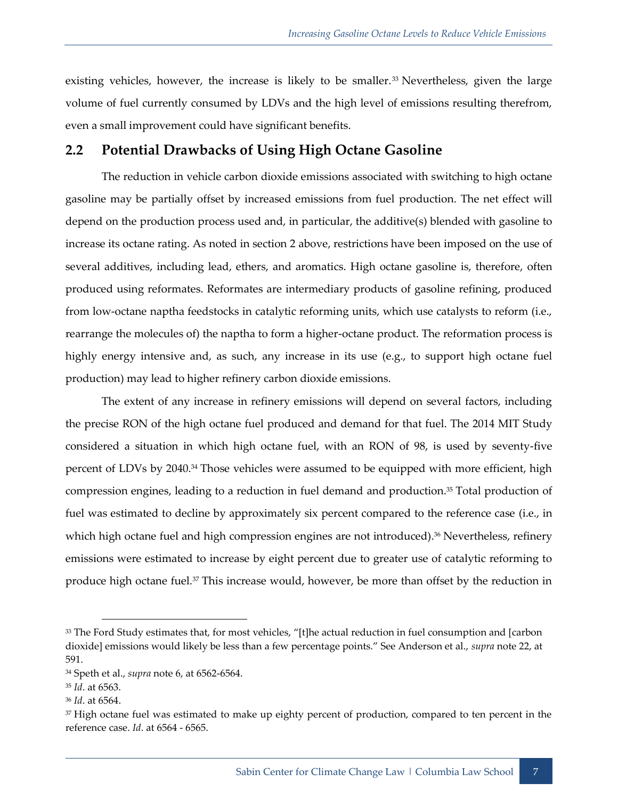existing vehicles, however, the increase is likely to be smaller.<sup>33</sup> Nevertheless, given the large volume of fuel currently consumed by LDVs and the high level of emissions resulting therefrom, even a small improvement could have significant benefits.

## <span id="page-12-0"></span>**2.2 Potential Drawbacks of Using High Octane Gasoline**

The reduction in vehicle carbon dioxide emissions associated with switching to high octane gasoline may be partially offset by increased emissions from fuel production. The net effect will depend on the production process used and, in particular, the additive(s) blended with gasoline to increase its octane rating. As noted in section [2](#page-7-0) above, restrictions have been imposed on the use of several additives, including lead, ethers, and aromatics. High octane gasoline is, therefore, often produced using reformates. Reformates are intermediary products of gasoline refining, produced from low-octane naptha feedstocks in catalytic reforming units, which use catalysts to reform (i.e., rearrange the molecules of) the naptha to form a higher-octane product. The reformation process is highly energy intensive and, as such, any increase in its use (e.g., to support high octane fuel production) may lead to higher refinery carbon dioxide emissions.

The extent of any increase in refinery emissions will depend on several factors, including the precise RON of the high octane fuel produced and demand for that fuel. The 2014 MIT Study considered a situation in which high octane fuel, with an RON of 98, is used by seventy-five percent of LDVs by 2040.<sup>34</sup> Those vehicles were assumed to be equipped with more efficient, high compression engines, leading to a reduction in fuel demand and production. <sup>35</sup> Total production of fuel was estimated to decline by approximately six percent compared to the reference case (i.e., in which high octane fuel and high compression engines are not introduced). <sup>36</sup> Nevertheless, refinery emissions were estimated to increase by eight percent due to greater use of catalytic reforming to produce high octane fuel.<sup>37</sup> This increase would, however, be more than offset by the reduction in

<sup>&</sup>lt;sup>33</sup> The Ford Study estimates that, for most vehicles, "[t]he actual reduction in fuel consumption and [carbon dioxide] emissions would likely be less than a few percentage points." See Anderson et al., *supra* note [22,](#page-10-1) at 591.

<sup>34</sup> Speth et al., *supra* note [6,](#page-7-1) at 6562-6564.

<sup>35</sup> *Id*. at 6563.

<sup>36</sup> *Id*. at 6564.

<sup>&</sup>lt;sup>37</sup> High octane fuel was estimated to make up eighty percent of production, compared to ten percent in the reference case. *Id*. at 6564 - 6565.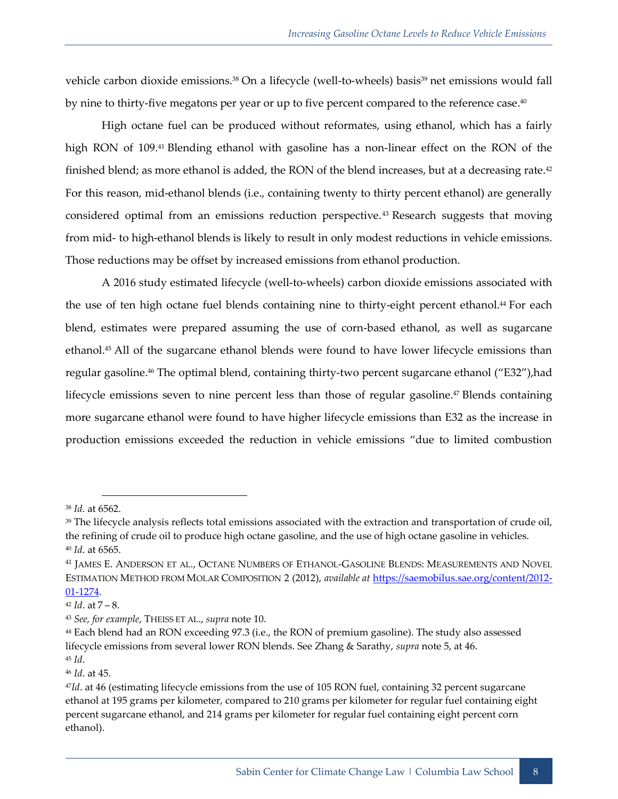vehicle carbon dioxide emissions.<sup>38</sup> On a lifecycle (well-to-wheels) basis<sup>39</sup> net emissions would fall by nine to thirty-five megatons per year or up to five percent compared to the reference case. 40

High octane fuel can be produced without reformates, using ethanol, which has a fairly high RON of 109.<sup>41</sup> Blending ethanol with gasoline has a non-linear effect on the RON of the finished blend; as more ethanol is added, the RON of the blend increases, but at a decreasing rate.<sup>42</sup> For this reason, mid-ethanol blends (i.e., containing twenty to thirty percent ethanol) are generally considered optimal from an emissions reduction perspective.<sup>43</sup> Research suggests that moving from mid- to high-ethanol blends is likely to result in only modest reductions in vehicle emissions. Those reductions may be offset by increased emissions from ethanol production.

A 2016 study estimated lifecycle (well-to-wheels) carbon dioxide emissions associated with the use of ten high octane fuel blends containing nine to thirty-eight percent ethanol. <sup>44</sup> For each blend, estimates were prepared assuming the use of corn-based ethanol, as well as sugarcane ethanol.<sup>45</sup> All of the sugarcane ethanol blends were found to have lower lifecycle emissions than regular gasoline.<sup>46</sup> The optimal blend, containing thirty-two percent sugarcane ethanol ("E32"),had lifecycle emissions seven to nine percent less than those of regular gasoline.<sup>47</sup> Blends containing more sugarcane ethanol were found to have higher lifecycle emissions than E32 as the increase in production emissions exceeded the reduction in vehicle emissions "due to limited combustion

-

<sup>38</sup> *Id*. at 6562.

<sup>&</sup>lt;sup>39</sup> The lifecycle analysis reflects total emissions associated with the extraction and transportation of crude oil, the refining of crude oil to produce high octane gasoline, and the use of high octane gasoline in vehicles. <sup>40</sup> *Id*. at 6565.

<sup>41</sup> JAMES E. ANDERSON ET AL., OCTANE NUMBERS OF ETHANOL-GASOLINE BLENDS: MEASUREMENTS AND NOVEL ESTIMATION METHOD FROM MOLAR COMPOSITION 2 (2012), *available at* [https://saemobilus.sae.org/content/2012-](https://saemobilus.sae.org/content/2012-01-1274) [01-1274.](https://saemobilus.sae.org/content/2012-01-1274)

 $42$  *Id.* at  $7 - 8$ .

<sup>43</sup> *See, for example*, THEISS ET AL., *supra* note [10.](#page-8-1)

<sup>44</sup> Each blend had an RON exceeding 97.3 (i.e., the RON of premium gasoline). The study also assessed lifecycle emissions from several lower RON blends. See Zhang & Sarathy, *supra* note [5,](#page-7-2) at 46. <sup>45</sup> *Id*.

<sup>46</sup> *Id*. at 45.

<sup>47</sup>*Id*. at 46 (estimating lifecycle emissions from the use of 105 RON fuel, containing 32 percent sugarcane ethanol at 195 grams per kilometer, compared to 210 grams per kilometer for regular fuel containing eight percent sugarcane ethanol, and 214 grams per kilometer for regular fuel containing eight percent corn ethanol).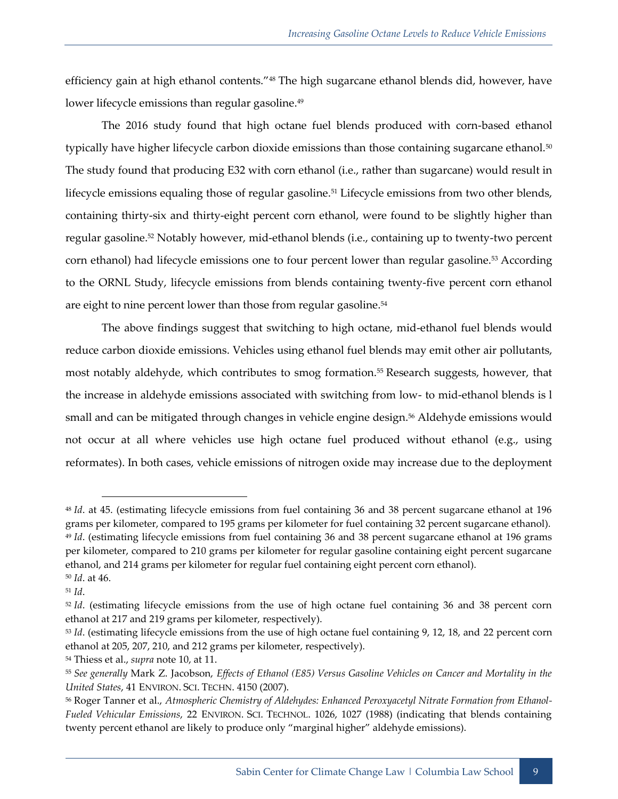efficiency gain at high ethanol contents."<sup>48</sup> The high sugarcane ethanol blends did, however, have lower lifecycle emissions than regular gasoline.<sup>49</sup>

The 2016 study found that high octane fuel blends produced with corn-based ethanol typically have higher lifecycle carbon dioxide emissions than those containing sugarcane ethanol.<sup>50</sup> The study found that producing E32 with corn ethanol (i.e., rather than sugarcane) would result in lifecycle emissions equaling those of regular gasoline.<sup>51</sup> Lifecycle emissions from two other blends, containing thirty-six and thirty-eight percent corn ethanol, were found to be slightly higher than regular gasoline.<sup>52</sup> Notably however, mid-ethanol blends (i.e., containing up to twenty-two percent corn ethanol) had lifecycle emissions one to four percent lower than regular gasoline.<sup>53</sup> According to the ORNL Study, lifecycle emissions from blends containing twenty-five percent corn ethanol are eight to nine percent lower than those from regular gasoline.<sup>54</sup>

The above findings suggest that switching to high octane, mid-ethanol fuel blends would reduce carbon dioxide emissions. Vehicles using ethanol fuel blends may emit other air pollutants, most notably aldehyde, which contributes to smog formation.<sup>55</sup> Research suggests, however, that the increase in aldehyde emissions associated with switching from low- to mid-ethanol blends is l small and can be mitigated through changes in vehicle engine design.<sup>56</sup> Aldehyde emissions would not occur at all where vehicles use high octane fuel produced without ethanol (e.g., using reformates). In both cases, vehicle emissions of nitrogen oxide may increase due to the deployment

<sup>48</sup> *Id*. at 45. (estimating lifecycle emissions from fuel containing 36 and 38 percent sugarcane ethanol at 196 grams per kilometer, compared to 195 grams per kilometer for fuel containing 32 percent sugarcane ethanol). <sup>49</sup> *Id*. (estimating lifecycle emissions from fuel containing 36 and 38 percent sugarcane ethanol at 196 grams per kilometer, compared to 210 grams per kilometer for regular gasoline containing eight percent sugarcane ethanol, and 214 grams per kilometer for regular fuel containing eight percent corn ethanol).

<sup>50</sup> *Id*. at 46.

<sup>51</sup> *Id*.

<sup>52</sup> *Id*. (estimating lifecycle emissions from the use of high octane fuel containing 36 and 38 percent corn ethanol at 217 and 219 grams per kilometer, respectively).

<sup>53</sup> *Id*. (estimating lifecycle emissions from the use of high octane fuel containing 9, 12, 18, and 22 percent corn ethanol at 205, 207, 210, and 212 grams per kilometer, respectively).

<sup>54</sup> Thiess et al., *supra* note [10,](#page-8-1) at 11.

<sup>55</sup> *See generally* Mark Z. Jacobson, *Effects of Ethanol (E85) Versus Gasoline Vehicles on Cancer and Mortality in the United States*, 41 ENVIRON. SCI. TECHN. 4150 (2007).

<sup>56</sup> Roger Tanner et al., *Atmospheric Chemistry of Aldehydes: Enhanced Peroxyacetyl Nitrate Formation from Ethanol-Fueled Vehicular Emissions*, 22 ENVIRON. SCI. TECHNOL. 1026, 1027 (1988) (indicating that blends containing twenty percent ethanol are likely to produce only "marginal higher" aldehyde emissions).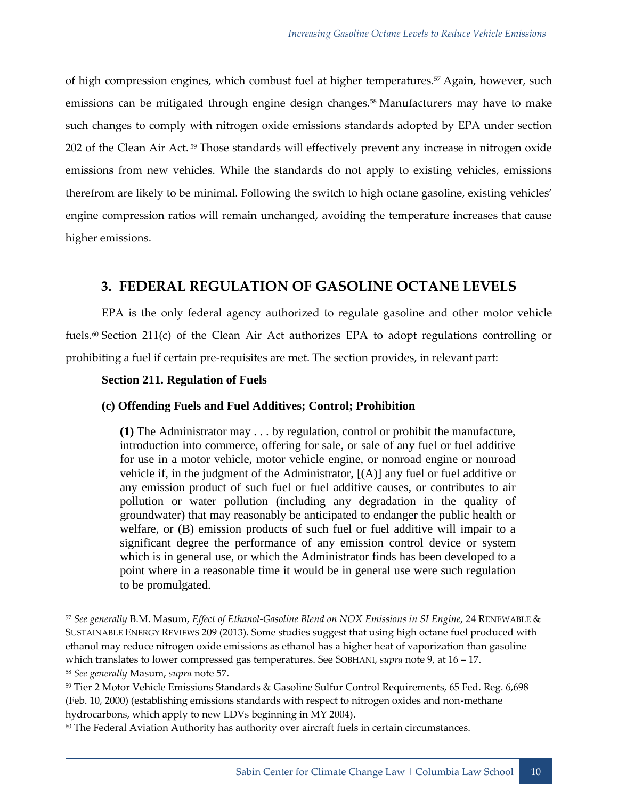<span id="page-15-1"></span>of high compression engines, which combust fuel at higher temperatures.<sup>57</sup> Again, however, such emissions can be mitigated through engine design changes.<sup>58</sup> Manufacturers may have to make such changes to comply with nitrogen oxide emissions standards adopted by EPA under section 202 of the Clean Air Act. <sup>59</sup> Those standards will effectively prevent any increase in nitrogen oxide emissions from new vehicles. While the standards do not apply to existing vehicles, emissions therefrom are likely to be minimal. Following the switch to high octane gasoline, existing vehicles' engine compression ratios will remain unchanged, avoiding the temperature increases that cause higher emissions.

## <span id="page-15-0"></span>**3. FEDERAL REGULATION OF GASOLINE OCTANE LEVELS**

EPA is the only federal agency authorized to regulate gasoline and other motor vehicle fuels.<sup>60</sup> Section 211(c) of the Clean Air Act authorizes EPA to adopt regulations controlling or prohibiting a fuel if certain pre-requisites are met. The section provides, in relevant part:

#### **Section 211. Regulation of Fuels**

#### **(c) Offending Fuels and Fuel Additives; Control; Prohibition**

**(1)** The Administrator may . . . by regulation, control or prohibit the manufacture, introduction into commerce, offering for sale, or sale of any fuel or fuel additive for use in a motor vehicle, motor vehicle engine, or nonroad engine or nonroad vehicle if, in the judgment of the Administrator, [(A)] any fuel or fuel additive or any emission product of such fuel or fuel additive causes, or contributes to air pollution or water pollution (including any degradation in the quality of groundwater) that may reasonably be anticipated to endanger the public health or welfare, or (B) emission products of such fuel or fuel additive will impair to a significant degree the performance of any emission control device or system which is in general use, or which the Administrator finds has been developed to a point where in a reasonable time it would be in general use were such regulation to be promulgated.

<sup>57</sup> *See generally* B.M. Masum, *Effect of Ethanol-Gasoline Blend on NOX Emissions in SI Engine*, 24 RENEWABLE & SUSTAINABLE ENERGY REVIEWS 209 (2013). Some studies suggest that using high octane fuel produced with ethanol may reduce nitrogen oxide emissions as ethanol has a higher heat of vaporization than gasoline which translates to lower compressed gas temperatures. See SOBHANI, *supra* not[e 9,](#page-8-0) at 16 – 17.

<sup>58</sup> *See generally* Masum, *supra* not[e 57.](#page-15-1)

<sup>59</sup> Tier 2 Motor Vehicle Emissions Standards & Gasoline Sulfur Control Requirements, 65 Fed. Reg. 6,698 (Feb. 10, 2000) (establishing emissions standards with respect to nitrogen oxides and non-methane hydrocarbons, which apply to new LDVs beginning in MY 2004).

 $60$  The Federal Aviation Authority has authority over aircraft fuels in certain circumstances.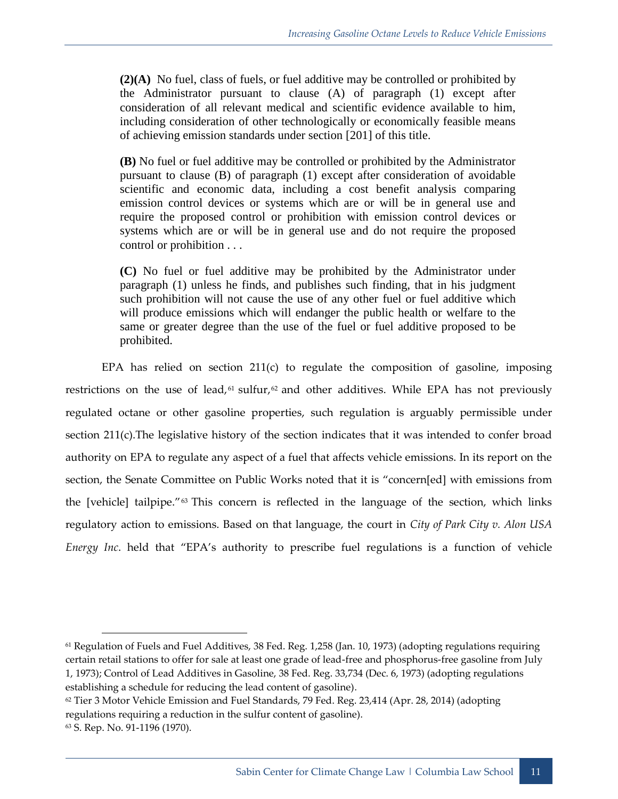**(2)(A)** No fuel, class of fuels, or fuel additive may be controlled or prohibited by the Administrator pursuant to clause (A) of paragraph (1) except after consideration of all relevant medical and scientific evidence available to him, including consideration of other technologically or economically feasible means of achieving emission standards under section [201] of this title.

**(B)** No fuel or fuel additive may be controlled or prohibited by the Administrator pursuant to clause (B) of paragraph (1) except after consideration of avoidable scientific and economic data, including a cost benefit analysis comparing emission control devices or systems which are or will be in general use and require the proposed control or prohibition with emission control devices or systems which are or will be in general use and do not require the proposed control or prohibition . . .

**(C)** No fuel or fuel additive may be prohibited by the Administrator under paragraph (1) unless he finds, and publishes such finding, that in his judgment such prohibition will not cause the use of any other fuel or fuel additive which will produce emissions which will endanger the public health or welfare to the same or greater degree than the use of the fuel or fuel additive proposed to be prohibited.

EPA has relied on section 211(c) to regulate the composition of gasoline, imposing restrictions on the use of lead,  $61$  sulfur,  $62$  and other additives. While EPA has not previously regulated octane or other gasoline properties, such regulation is arguably permissible under section 211(c).The legislative history of the section indicates that it was intended to confer broad authority on EPA to regulate any aspect of a fuel that affects vehicle emissions. In its report on the section, the Senate Committee on Public Works noted that it is "concern[ed] with emissions from the [vehicle] tailpipe."<sup>63</sup> This concern is reflected in the language of the section, which links regulatory action to emissions. Based on that language, the court in *City of Park City v. Alon USA Energy Inc*. held that "EPA's authority to prescribe fuel regulations is a function of vehicle

<sup>61</sup> Regulation of Fuels and Fuel Additives, 38 Fed. Reg. 1,258 (Jan. 10, 1973) (adopting regulations requiring certain retail stations to offer for sale at least one grade of lead-free and phosphorus-free gasoline from July 1, 1973); Control of Lead Additives in Gasoline, 38 Fed. Reg. 33,734 (Dec. 6, 1973) (adopting regulations establishing a schedule for reducing the lead content of gasoline).

<sup>&</sup>lt;sup>62</sup> Tier 3 Motor Vehicle Emission and Fuel Standards, 79 Fed. Reg. 23,414 (Apr. 28, 2014) (adopting regulations requiring a reduction in the sulfur content of gasoline).

<sup>63</sup> S. Rep. No. 91-1196 (1970).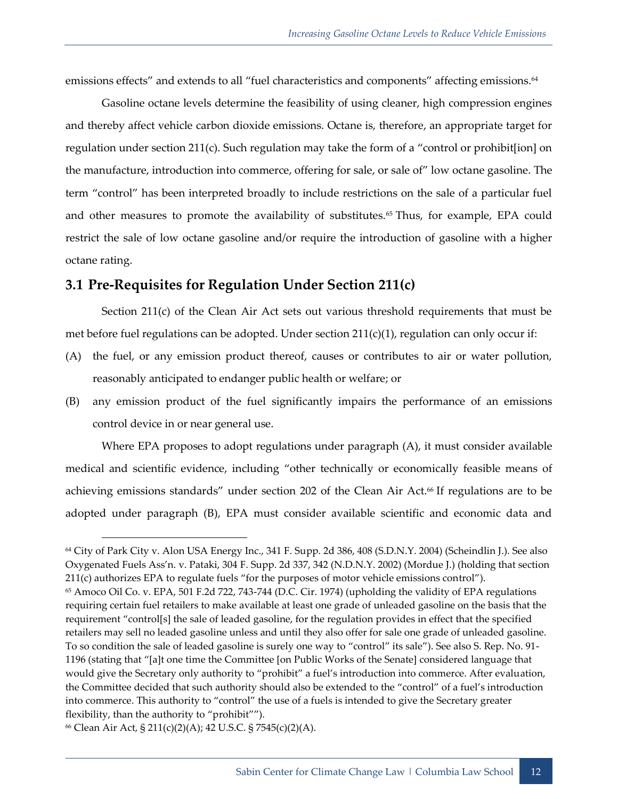emissions effects" and extends to all "fuel characteristics and components" affecting emissions.<sup>64</sup>

Gasoline octane levels determine the feasibility of using cleaner, high compression engines and thereby affect vehicle carbon dioxide emissions. Octane is, therefore, an appropriate target for regulation under section 211(c). Such regulation may take the form of a "control or prohibit[ion] on the manufacture, introduction into commerce, offering for sale, or sale of" low octane gasoline. The term "control" has been interpreted broadly to include restrictions on the sale of a particular fuel and other measures to promote the availability of substitutes.<sup>65</sup> Thus, for example, EPA could restrict the sale of low octane gasoline and/or require the introduction of gasoline with a higher octane rating.

## <span id="page-17-0"></span>**3.1 Pre-Requisites for Regulation Under Section 211(c)**

Section 211(c) of the Clean Air Act sets out various threshold requirements that must be met before fuel regulations can be adopted. Under section  $211(c)(1)$ , regulation can only occur if:

- (A) the fuel, or any emission product thereof, causes or contributes to air or water pollution, reasonably anticipated to endanger public health or welfare; or
- (B) any emission product of the fuel significantly impairs the performance of an emissions control device in or near general use.

Where EPA proposes to adopt regulations under paragraph (A), it must consider available medical and scientific evidence, including "other technically or economically feasible means of achieving emissions standards" under section 202 of the Clean Air Act.<sup>66</sup> If regulations are to be adopted under paragraph (B), EPA must consider available scientific and economic data and

<sup>64</sup> City of Park City v. Alon USA Energy Inc., 341 F. Supp. 2d 386, 408 (S.D.N.Y. 2004) (Scheindlin J.). See also Oxygenated Fuels Ass'n. v. Pataki, 304 F. Supp. 2d 337, 342 (N.D.N.Y. 2002) (Mordue J.) (holding that section 211(c) authorizes EPA to regulate fuels "for the purposes of motor vehicle emissions control"). <sup>65</sup> Amoco Oil Co. v. EPA, 501 F.2d 722, 743-744 (D.C. Cir. 1974) (upholding the validity of EPA regulations requiring certain fuel retailers to make available at least one grade of unleaded gasoline on the basis that the requirement "control[s] the sale of leaded gasoline, for the regulation provides in effect that the specified retailers may sell no leaded gasoline unless and until they also offer for sale one grade of unleaded gasoline. To so condition the sale of leaded gasoline is surely one way to "control" its sale"). See also S. Rep. No. 91- 1196 (stating that "[a]t one time the Committee [on Public Works of the Senate] considered language that would give the Secretary only authority to "prohibit" a fuel's introduction into commerce. After evaluation, the Committee decided that such authority should also be extended to the "control" of a fuel's introduction into commerce. This authority to "control" the use of a fuels is intended to give the Secretary greater flexibility, than the authority to "prohibit"").

<sup>66</sup> Clean Air Act, § 211(c)(2)(A); 42 U.S.C. § 7545(c)(2)(A).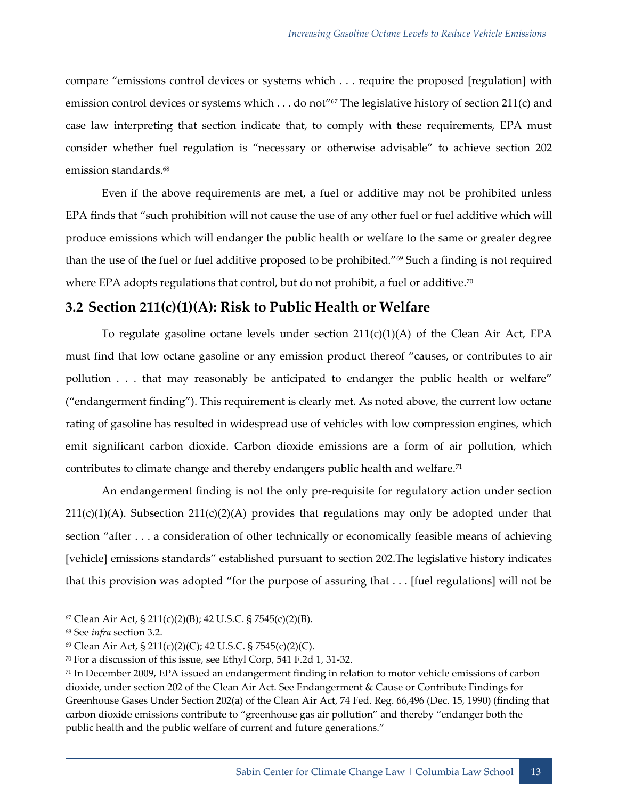compare "emissions control devices or systems which . . . require the proposed [regulation] with emission control devices or systems which . . . do not"<sup>67</sup> The legislative history of section 211(c) and case law interpreting that section indicate that, to comply with these requirements, EPA must consider whether fuel regulation is "necessary or otherwise advisable" to achieve section 202 emission standards.<sup>68</sup>

Even if the above requirements are met, a fuel or additive may not be prohibited unless EPA finds that "such prohibition will not cause the use of any other fuel or fuel additive which will produce emissions which will endanger the public health or welfare to the same or greater degree than the use of the fuel or fuel additive proposed to be prohibited."<sup>69</sup> Such a finding is not required where EPA adopts regulations that control, but do not prohibit, a fuel or additive.<sup>70</sup>

## <span id="page-18-0"></span>**3.2 Section 211(c)(1)(A): Risk to Public Health or Welfare**

To regulate gasoline octane levels under section  $211(c)(1)(A)$  of the Clean Air Act, EPA must find that low octane gasoline or any emission product thereof "causes, or contributes to air pollution . . . that may reasonably be anticipated to endanger the public health or welfare" ("endangerment finding"). This requirement is clearly met. As noted above, the current low octane rating of gasoline has resulted in widespread use of vehicles with low compression engines, which emit significant carbon dioxide. Carbon dioxide emissions are a form of air pollution, which contributes to climate change and thereby endangers public health and welfare.<sup>71</sup>

An endangerment finding is not the only pre-requisite for regulatory action under section  $211(c)(1)(A)$ . Subsection  $211(c)(2)(A)$  provides that regulations may only be adopted under that section "after . . . a consideration of other technically or economically feasible means of achieving [vehicle] emissions standards" established pursuant to section 202.The legislative history indicates that this provision was adopted "for the purpose of assuring that . . . [fuel regulations] will not be

 $67$  Clean Air Act, § 211(c)(2)(B); 42 U.S.C. § 7545(c)(2)(B).

<sup>68</sup> See *infra* section [3.2.](#page-18-0)

<sup>69</sup> Clean Air Act, § 211(c)(2)(C); 42 U.S.C. § 7545(c)(2)(C).

<sup>70</sup> For a discussion of this issue, see Ethyl Corp, 541 F.2d 1, 31-32.

 $71$  In December 2009, EPA issued an endangerment finding in relation to motor vehicle emissions of carbon dioxide, under section 202 of the Clean Air Act. See Endangerment & Cause or Contribute Findings for Greenhouse Gases Under Section 202(a) of the Clean Air Act, 74 Fed. Reg. 66,496 (Dec. 15, 1990) (finding that carbon dioxide emissions contribute to "greenhouse gas air pollution" and thereby "endanger both the public health and the public welfare of current and future generations."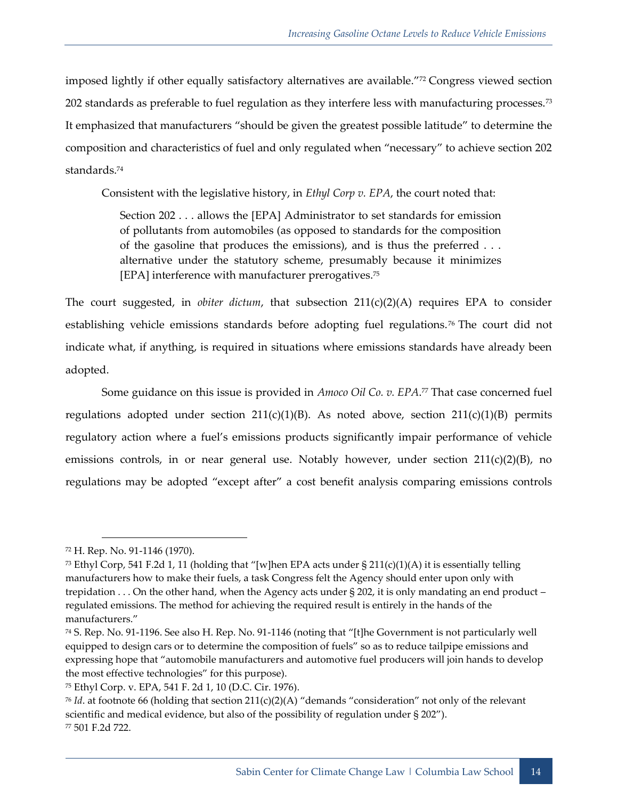imposed lightly if other equally satisfactory alternatives are available."<sup>72</sup> Congress viewed section 202 standards as preferable to fuel regulation as they interfere less with manufacturing processes.<sup>73</sup> It emphasized that manufacturers "should be given the greatest possible latitude" to determine the composition and characteristics of fuel and only regulated when "necessary" to achieve section 202 standards.<sup>74</sup>

Consistent with the legislative history, in *Ethyl Corp v. EPA*, the court noted that:

Section 202 . . . allows the [EPA] Administrator to set standards for emission of pollutants from automobiles (as opposed to standards for the composition of the gasoline that produces the emissions), and is thus the preferred . . . alternative under the statutory scheme, presumably because it minimizes [EPA] interference with manufacturer prerogatives.<sup>75</sup>

The court suggested, in *obiter dictum*, that subsection  $211(c)(2)(A)$  requires EPA to consider establishing vehicle emissions standards before adopting fuel regulations.<sup>76</sup> The court did not indicate what, if anything, is required in situations where emissions standards have already been adopted.

Some guidance on this issue is provided in *Amoco Oil Co. v. EPA*.<sup>77</sup> That case concerned fuel regulations adopted under section  $211(c)(1)(B)$ . As noted above, section  $211(c)(1)(B)$  permits regulatory action where a fuel's emissions products significantly impair performance of vehicle emissions controls, in or near general use. Notably however, under section 211(c)(2)(B), no regulations may be adopted "except after" a cost benefit analysis comparing emissions controls

<sup>72</sup> H. Rep. No. 91-1146 (1970).

<sup>&</sup>lt;sup>73</sup> Ethyl Corp, 541 F.2d 1, 11 (holding that "[w]hen EPA acts under  $\S 211(c)(1)(A)$  it is essentially telling manufacturers how to make their fuels, a task Congress felt the Agency should enter upon only with trepidation . . . On the other hand, when the Agency acts under § 202, it is only mandating an end product – regulated emissions. The method for achieving the required result is entirely in the hands of the manufacturers."

<sup>74</sup> S. Rep. No. 91-1196. See also H. Rep. No. 91-1146 (noting that "[t]he Government is not particularly well equipped to design cars or to determine the composition of fuels" so as to reduce tailpipe emissions and expressing hope that "automobile manufacturers and automotive fuel producers will join hands to develop the most effective technologies" for this purpose).

<sup>75</sup> Ethyl Corp. v. EPA, 541 F. 2d 1, 10 (D.C. Cir. 1976).

 $76$  *Id.* at footnote 66 (holding that section 211(c)(2)(A) "demands "consideration" not only of the relevant scientific and medical evidence, but also of the possibility of regulation under § 202"). <sup>77</sup> 501 F.2d 722.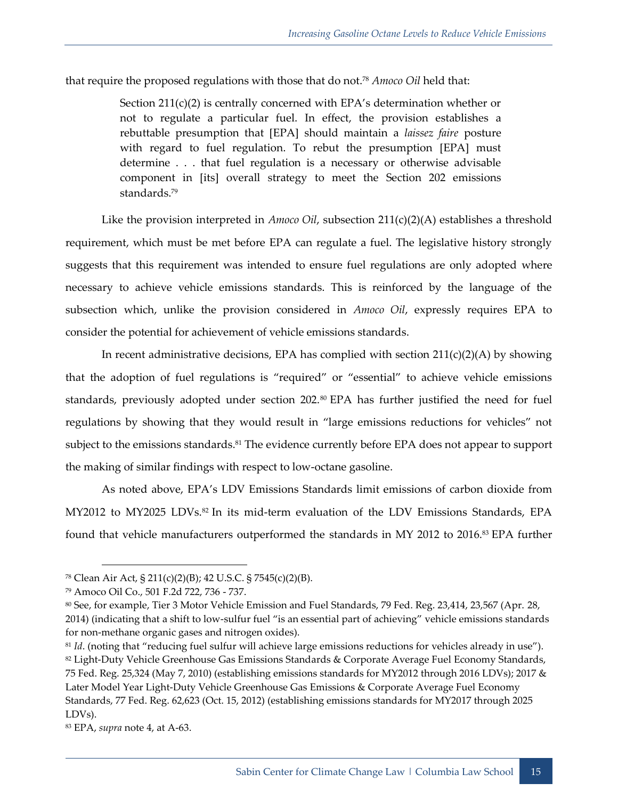that require the proposed regulations with those that do not.<sup>78</sup> *Amoco Oil* held that:

Section  $211(c)(2)$  is centrally concerned with EPA's determination whether or not to regulate a particular fuel. In effect, the provision establishes a rebuttable presumption that [EPA] should maintain a *laissez faire* posture with regard to fuel regulation. To rebut the presumption [EPA] must determine . . . that fuel regulation is a necessary or otherwise advisable component in [its] overall strategy to meet the Section 202 emissions standards.<sup>79</sup>

Like the provision interpreted in *Amoco Oil*, subsection 211(c)(2)(A) establishes a threshold requirement, which must be met before EPA can regulate a fuel. The legislative history strongly suggests that this requirement was intended to ensure fuel regulations are only adopted where necessary to achieve vehicle emissions standards. This is reinforced by the language of the subsection which, unlike the provision considered in *Amoco Oil*, expressly requires EPA to consider the potential for achievement of vehicle emissions standards.

In recent administrative decisions, EPA has complied with section  $211(c)(2)(A)$  by showing that the adoption of fuel regulations is "required" or "essential" to achieve vehicle emissions standards, previously adopted under section  $202.^{\text{80}}$  EPA has further justified the need for fuel regulations by showing that they would result in "large emissions reductions for vehicles" not subject to the emissions standards.<sup>81</sup> The evidence currently before EPA does not appear to support the making of similar findings with respect to low-octane gasoline.

As noted above, EPA's LDV Emissions Standards limit emissions of carbon dioxide from MY2012 to MY2025 LDVs.<sup>82</sup> In its mid-term evaluation of the LDV Emissions Standards, EPA found that vehicle manufacturers outperformed the standards in MY 2012 to 2016.<sup>83</sup> EPA further

<sup>78</sup> Clean Air Act, § 211(c)(2)(B); 42 U.S.C. § 7545(c)(2)(B).

<sup>79</sup> Amoco Oil Co., 501 F.2d 722, 736 - 737.

<sup>80</sup> See, for example, Tier 3 Motor Vehicle Emission and Fuel Standards, 79 Fed. Reg. 23,414, 23,567 (Apr. 28, 2014) (indicating that a shift to low-sulfur fuel "is an essential part of achieving" vehicle emissions standards for non-methane organic gases and nitrogen oxides).

<sup>&</sup>lt;sup>81</sup> *Id.* (noting that "reducing fuel sulfur will achieve large emissions reductions for vehicles already in use").

<sup>82</sup> Light-Duty Vehicle Greenhouse Gas Emissions Standards & Corporate Average Fuel Economy Standards, 75 Fed. Reg. 25,324 (May 7, 2010) (establishing emissions standards for MY2012 through 2016 LDVs); 2017 & Later Model Year Light-Duty Vehicle Greenhouse Gas Emissions & Corporate Average Fuel Economy Standards, 77 Fed. Reg. 62,623 (Oct. 15, 2012) (establishing emissions standards for MY2017 through 2025 LDVs).

<sup>83</sup> EPA, *supra* note [4,](#page-6-1) at A-63.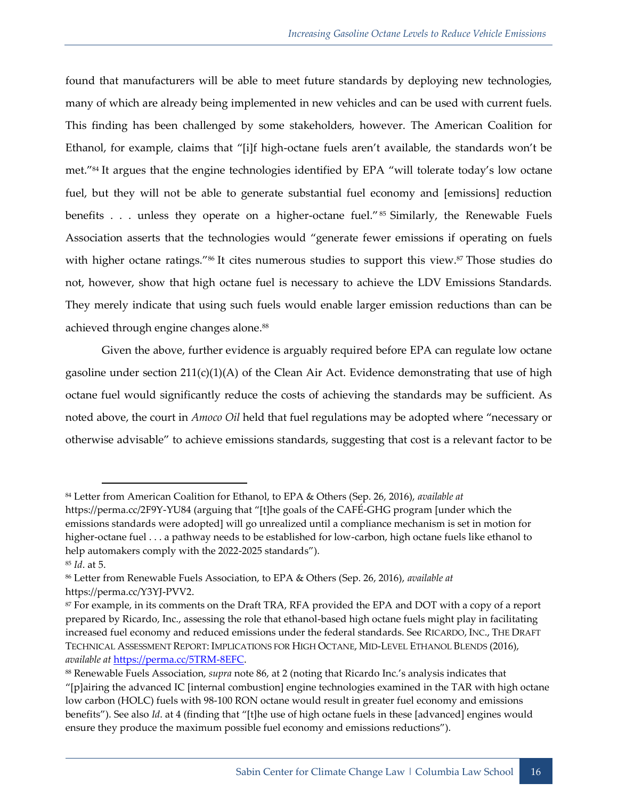found that manufacturers will be able to meet future standards by deploying new technologies, many of which are already being implemented in new vehicles and can be used with current fuels. This finding has been challenged by some stakeholders, however. The American Coalition for Ethanol, for example, claims that "[i]f high-octane fuels aren't available, the standards won't be met."<sup>84</sup> It argues that the engine technologies identified by EPA "will tolerate today's low octane fuel, but they will not be able to generate substantial fuel economy and [emissions] reduction benefits . . . unless they operate on a higher-octane fuel."<sup>85</sup> Similarly, the Renewable Fuels Association asserts that the technologies would "generate fewer emissions if operating on fuels with higher octane ratings."<sup>86</sup> It cites numerous studies to support this view.<sup>87</sup> Those studies do not, however, show that high octane fuel is necessary to achieve the LDV Emissions Standards. They merely indicate that using such fuels would enable larger emission reductions than can be achieved through engine changes alone.<sup>88</sup>

<span id="page-21-0"></span>Given the above, further evidence is arguably required before EPA can regulate low octane gasoline under section  $211(c)(1)(A)$  of the Clean Air Act. Evidence demonstrating that use of high octane fuel would significantly reduce the costs of achieving the standards may be sufficient. As noted above, the court in *Amoco Oil* held that fuel regulations may be adopted where "necessary or otherwise advisable" to achieve emissions standards, suggesting that cost is a relevant factor to be

<sup>84</sup> Letter from American Coalition for Ethanol, to EPA & Others (Sep. 26, 2016), *available at*

<https://perma.cc/2F9Y-YU84> (arguing that "[t]he goals of the CAFÉ-GHG program [under which the emissions standards were adopted] will go unrealized until a compliance mechanism is set in motion for higher-octane fuel . . . a pathway needs to be established for low-carbon, high octane fuels like ethanol to help automakers comply with the 2022-2025 standards").

<sup>85</sup> *Id*. at 5.

<sup>86</sup> Letter from Renewable Fuels Association, to EPA & Others (Sep. 26, 2016), *available at* https://perma.cc/Y3YJ-PVV2.

<sup>87</sup> For example, in its comments on the Draft TRA, RFA provided the EPA and DOT with a copy of a report prepared by Ricardo, Inc., assessing the role that ethanol-based high octane fuels might play in facilitating increased fuel economy and reduced emissions under the federal standards. See RICARDO, INC., THE DRAFT TECHNICAL ASSESSMENT REPORT: IMPLICATIONS FOR HIGH OCTANE, MID-LEVEL ETHANOL BLENDS (2016), *available at* [https://perma.cc/5TRM-8EFC.](https://perma.cc/5TRM-8EFC)

<sup>88</sup> Renewable Fuels Association, *supra* note [86](#page-21-0), at 2 (noting that Ricardo Inc.'s analysis indicates that

<sup>&</sup>quot;[p]airing the advanced IC [internal combustion] engine technologies examined in the TAR with high octane low carbon (HOLC) fuels with 98-100 RON octane would result in greater fuel economy and emissions benefits"). See also *Id*. at 4 (finding that "[t]he use of high octane fuels in these [advanced] engines would ensure they produce the maximum possible fuel economy and emissions reductions").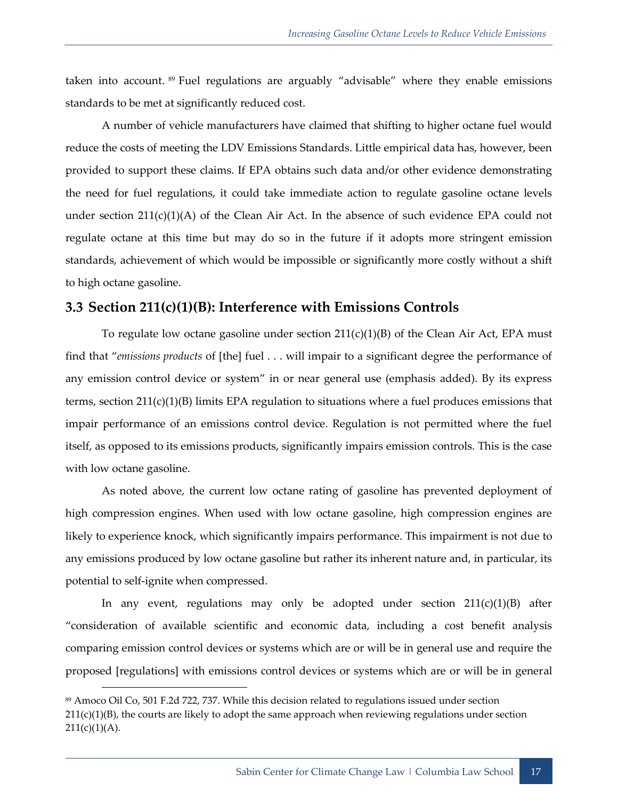taken into account. <sup>89</sup> Fuel regulations are arguably "advisable" where they enable emissions standards to be met at significantly reduced cost.

A number of vehicle manufacturers have claimed that shifting to higher octane fuel would reduce the costs of meeting the LDV Emissions Standards. Little empirical data has, however, been provided to support these claims. If EPA obtains such data and/or other evidence demonstrating the need for fuel regulations, it could take immediate action to regulate gasoline octane levels under section 211(c)(1)(A) of the Clean Air Act. In the absence of such evidence EPA could not regulate octane at this time but may do so in the future if it adopts more stringent emission standards, achievement of which would be impossible or significantly more costly without a shift to high octane gasoline.

## <span id="page-22-0"></span>**3.3 Section 211(c)(1)(B): Interference with Emissions Controls**

To regulate low octane gasoline under section  $211(c)(1)(B)$  of the Clean Air Act, EPA must find that "*emissions products* of [the] fuel . . . will impair to a significant degree the performance of any emission control device or system" in or near general use (emphasis added). By its express terms, section 211(c)(1)(B) limits EPA regulation to situations where a fuel produces emissions that impair performance of an emissions control device. Regulation is not permitted where the fuel itself, as opposed to its emissions products, significantly impairs emission controls. This is the case with low octane gasoline.

As noted above, the current low octane rating of gasoline has prevented deployment of high compression engines. When used with low octane gasoline, high compression engines are likely to experience knock, which significantly impairs performance. This impairment is not due to any emissions produced by low octane gasoline but rather its inherent nature and, in particular, its potential to self-ignite when compressed.

In any event, regulations may only be adopted under section  $211(c)(1)(B)$  after "consideration of available scientific and economic data, including a cost benefit analysis comparing emission control devices or systems which are or will be in general use and require the proposed [regulations] with emissions control devices or systems which are or will be in general

<sup>89</sup> Amoco Oil Co, 501 F.2d 722, 737. While this decision related to regulations issued under section  $211(c)(1)(B)$ , the courts are likely to adopt the same approach when reviewing regulations under section  $211(c)(1)(A).$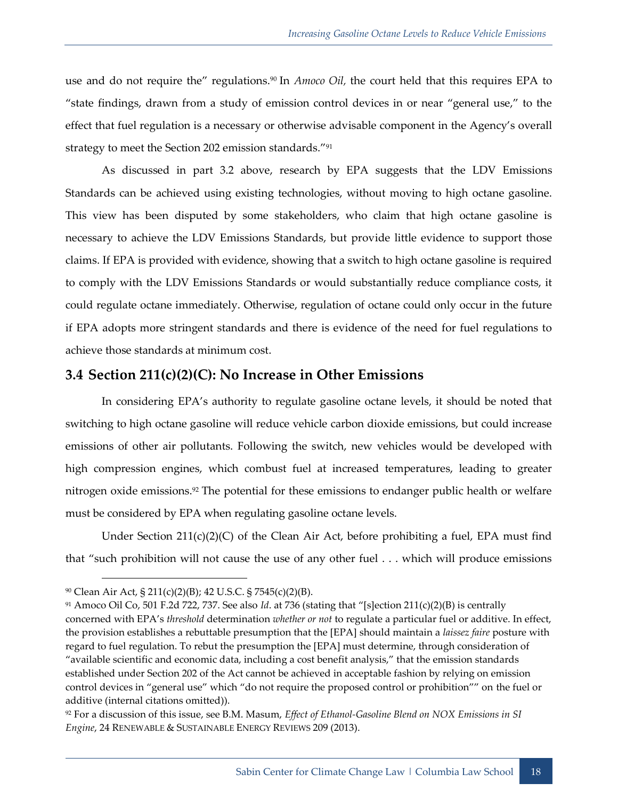use and do not require the" regulations.<sup>90</sup> In *Amoco Oil*, the court held that this requires EPA to "state findings, drawn from a study of emission control devices in or near "general use," to the effect that fuel regulation is a necessary or otherwise advisable component in the Agency's overall strategy to meet the Section 202 emission standards."<sup>91</sup>

As discussed in part [3.2](#page-18-0) above, research by EPA suggests that the LDV Emissions Standards can be achieved using existing technologies, without moving to high octane gasoline. This view has been disputed by some stakeholders, who claim that high octane gasoline is necessary to achieve the LDV Emissions Standards, but provide little evidence to support those claims. If EPA is provided with evidence, showing that a switch to high octane gasoline is required to comply with the LDV Emissions Standards or would substantially reduce compliance costs, it could regulate octane immediately. Otherwise, regulation of octane could only occur in the future if EPA adopts more stringent standards and there is evidence of the need for fuel regulations to achieve those standards at minimum cost.

#### <span id="page-23-0"></span>**3.4 Section 211(c)(2)(C): No Increase in Other Emissions**

In considering EPA's authority to regulate gasoline octane levels, it should be noted that switching to high octane gasoline will reduce vehicle carbon dioxide emissions, but could increase emissions of other air pollutants. Following the switch, new vehicles would be developed with high compression engines, which combust fuel at increased temperatures, leading to greater nitrogen oxide emissions.<sup>92</sup> The potential for these emissions to endanger public health or welfare must be considered by EPA when regulating gasoline octane levels.

Under Section  $211(c)(2)(C)$  of the Clean Air Act, before prohibiting a fuel, EPA must find that "such prohibition will not cause the use of any other fuel . . . which will produce emissions

<sup>90</sup> Clean Air Act, § 211(c)(2)(B); 42 U.S.C. § 7545(c)(2)(B).

<sup>91</sup> Amoco Oil Co, 501 F.2d 722, 737. See also *Id*. at 736 (stating that "[s]ection 211(c)(2)(B) is centrally concerned with EPA's *threshold* determination *whether or not* to regulate a particular fuel or additive. In effect, the provision establishes a rebuttable presumption that the [EPA] should maintain a *laissez faire* posture with regard to fuel regulation. To rebut the presumption the [EPA] must determine, through consideration of "available scientific and economic data, including a cost benefit analysis," that the emission standards established under Section 202 of the Act cannot be achieved in acceptable fashion by relying on emission control devices in "general use" which "do not require the proposed control or prohibition"" on the fuel or additive (internal citations omitted)).

<sup>92</sup> For a discussion of this issue, see B.M. Masum, *Effect of Ethanol-Gasoline Blend on NOX Emissions in SI Engine*, 24 RENEWABLE & SUSTAINABLE ENERGY REVIEWS 209 (2013).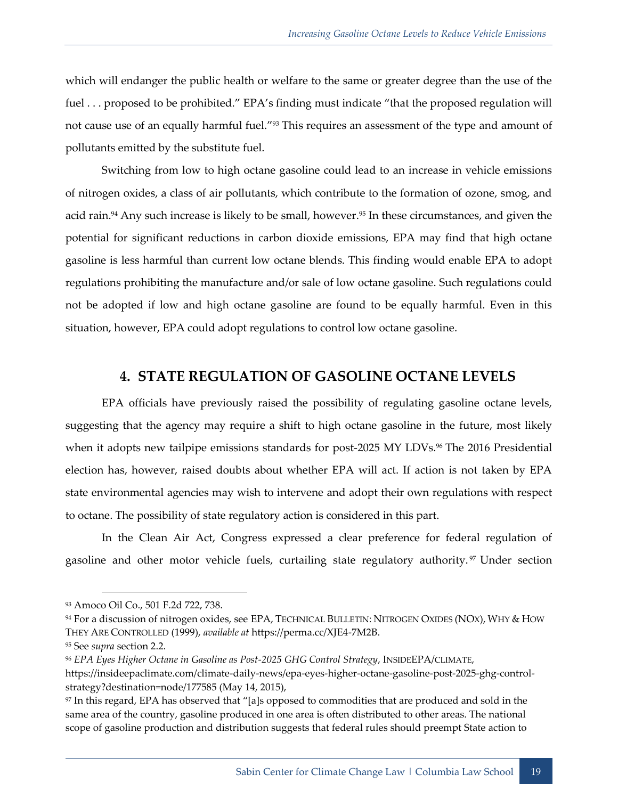which will endanger the public health or welfare to the same or greater degree than the use of the fuel . . . proposed to be prohibited." EPA's finding must indicate "that the proposed regulation will not cause use of an equally harmful fuel."<sup>93</sup> This requires an assessment of the type and amount of pollutants emitted by the substitute fuel.

Switching from low to high octane gasoline could lead to an increase in vehicle emissions of nitrogen oxides, a class of air pollutants, which contribute to the formation of ozone, smog, and acid rain.<sup>94</sup> Any such increase is likely to be small, however.<sup>95</sup> In these circumstances, and given the potential for significant reductions in carbon dioxide emissions, EPA may find that high octane gasoline is less harmful than current low octane blends. This finding would enable EPA to adopt regulations prohibiting the manufacture and/or sale of low octane gasoline. Such regulations could not be adopted if low and high octane gasoline are found to be equally harmful. Even in this situation, however, EPA could adopt regulations to control low octane gasoline.

## **4. STATE REGULATION OF GASOLINE OCTANE LEVELS**

<span id="page-24-0"></span>EPA officials have previously raised the possibility of regulating gasoline octane levels, suggesting that the agency may require a shift to high octane gasoline in the future, most likely when it adopts new tailpipe emissions standards for post-2025 MY LDVs.<sup>96</sup> The 2016 Presidential election has, however, raised doubts about whether EPA will act. If action is not taken by EPA state environmental agencies may wish to intervene and adopt their own regulations with respect to octane. The possibility of state regulatory action is considered in this part.

In the Clean Air Act, Congress expressed a clear preference for federal regulation of gasoline and other motor vehicle fuels, curtailing state regulatory authority.<sup>97</sup> Under section

<sup>93</sup> Amoco Oil Co., 501 F.2d 722, 738.

<sup>94</sup> For a discussion of nitrogen oxides, see EPA, TECHNICAL BULLETIN: NITROGEN OXIDES (NOX), WHY & HOW THEY ARE CONTROLLED (1999), *available at* https://perma.cc/XJE4-7M2B.

<sup>95</sup> See *supra* section [2.2.](#page-12-0)

<sup>96</sup> *EPA Eyes Higher Octane in Gasoline as Post-2025 GHG Control Strategy*, INSIDEEPA/CLIMATE,

https://insideepaclimate.com/climate-daily-news/epa-eyes-higher-octane-gasoline-post-2025-ghg-controlstrategy?destination=node/177585 (May 14, 2015),

<sup>97</sup> In this regard, EPA has observed that "[a]s opposed to commodities that are produced and sold in the same area of the country, gasoline produced in one area is often distributed to other areas. The national scope of gasoline production and distribution suggests that federal rules should preempt State action to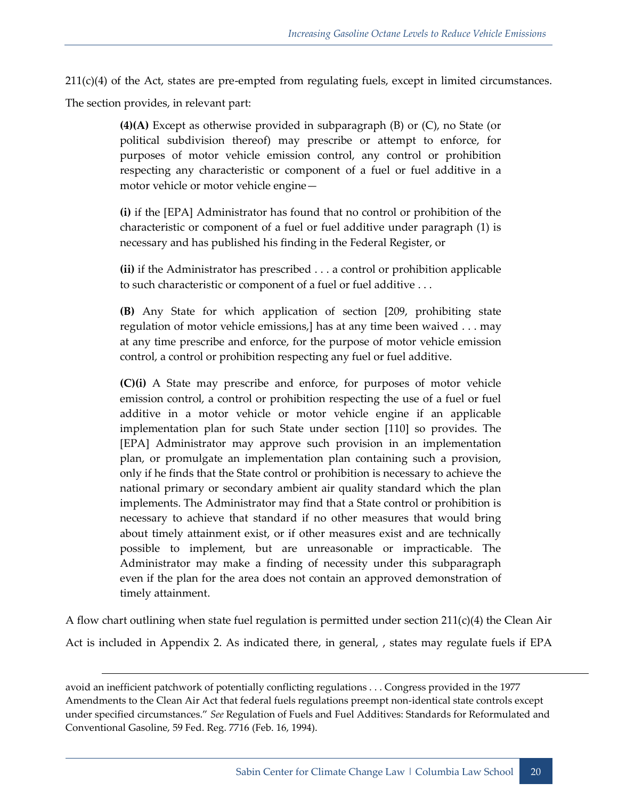211(c)(4) of the Act, states are pre-empted from regulating fuels, except in limited circumstances.

The section provides, in relevant part:

1

**(4)(A)** Except as otherwise provided in subparagraph (B) or (C), no State (or political subdivision thereof) may prescribe or attempt to enforce, for purposes of motor vehicle emission control, any control or prohibition respecting any characteristic or component of a fuel or fuel additive in a motor vehicle or motor vehicle engine—

**(i)** if the [EPA] Administrator has found that no control or prohibition of the characteristic or component of a fuel or fuel additive under paragraph (1) is necessary and has published his finding in the Federal Register, or

**(ii)** if the Administrator has prescribed . . . a control or prohibition applicable to such characteristic or component of a fuel or fuel additive . . .

**(B)** Any State for which application of [section \[209, prohibiting state](https://www.law.cornell.edu/uscode/text/42/lii:usc:t:42:s:7543:a)  [regulation of motor vehicle emissions,\] h](https://www.law.cornell.edu/uscode/text/42/lii:usc:t:42:s:7543:a)as at any time been waived . . . may at any time prescribe and enforce, for the purpose of motor vehicle emission control, a control or prohibition respecting any fuel or fuel additive.

**(C)(i)** A State may prescribe and enforce, for purposes of motor vehicle emission control, a control or prohibition respecting the use of a fuel or fuel additive in a motor vehicle or motor vehicle engine if an applicable implementation plan for such State under [section](https://www.law.cornell.edu/uscode/text/42/7410) [110] so provides. The [EPA] Administrator may approve such provision in an implementation plan, or promulgate an implementation plan containing such a provision, only if he finds that the State control or prohibition is necessary to achieve the national primary or secondary ambient air quality standard which the plan implements. The Administrator may find that a State control or prohibition is necessary to achieve that standard if no other measures that would bring about timely attainment exist, or if other measures exist and are technically possible to implement, but are unreasonable or impracticable. The Administrator may make a finding of necessity under this subparagraph even if the plan for the area does not contain an approved demonstration of timely attainment.

A flow chart outlining when state fuel regulation is permitted under section 211(c)(4) the Clean Air Act is included in Appendix 2. As indicated there, in general, , states may regulate fuels if EPA

avoid an inefficient patchwork of potentially conflicting regulations . . . Congress provided in the 1977 Amendments to the Clean Air Act that federal fuels regulations preempt non-identical state controls except under specified circumstances." *See* Regulation of Fuels and Fuel Additives: Standards for Reformulated and Conventional Gasoline, [59 Fed. Reg. 7716](https://advance.lexis.com/api/document/collection/administrative-codes/id/3SHC-8Y80-006W-94PN-00000-00?context=1000516) (Feb. 16, 1994).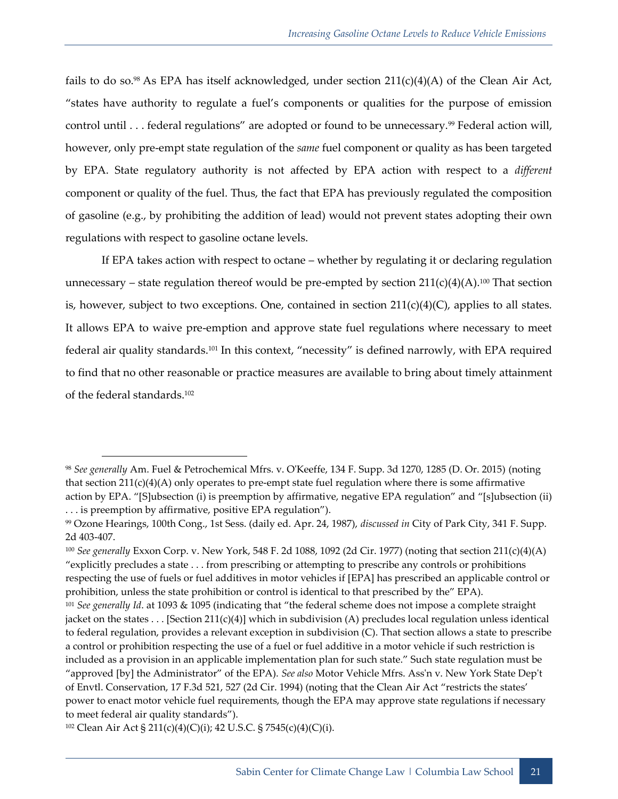fails to do so.<sup>98</sup> As EPA has itself acknowledged, under section  $211(c)(4)(A)$  of the Clean Air Act, "states have authority to regulate a fuel's components or qualities for the purpose of emission control until . . . federal regulations" are adopted or found to be unnecessary.<sup>99</sup> Federal action will, however, only pre-empt state regulation of the *same* fuel component or quality as has been targeted by EPA. State regulatory authority is not affected by EPA action with respect to a *different*  component or quality of the fuel. Thus, the fact that EPA has previously regulated the composition of gasoline (e.g., by prohibiting the addition of lead) would not prevent states adopting their own regulations with respect to gasoline octane levels.

If EPA takes action with respect to octane – whether by regulating it or declaring regulation unnecessary – state regulation thereof would be pre-empted by section  $211(c)(4)(A).^{100}$  That section is, however, subject to two exceptions. One, contained in section  $211(c)(4)(C)$ , applies to all states. It allows EPA to waive pre-emption and approve state fuel regulations where necessary to meet federal air quality standards.<sup>101</sup> In this context, "necessity" is defined narrowly, with EPA required to find that no other reasonable or practice measures are available to bring about timely attainment of the federal standards.<sup>102</sup>

-

<sup>98</sup> *See generally* Am. Fuel & Petrochemical Mfrs. v. O'Keeffe, 134 F. Supp. 3d 1270, 1285 (D. Or. 2015) (noting that section  $211(c)(4)(A)$  only operates to pre-empt state fuel regulation where there is some affirmative action by EPA. "[S]ubsection (i) is preemption by affirmative, negative EPA regulation" and "[s]ubsection (ii) . . . is preemption by affirmative, positive EPA regulation").

<sup>99</sup> Ozone Hearings, 100th Cong., 1st Sess. (daily ed. Apr. 24, 1987), *discussed in* City of Park City, 341 F. Supp. 2d 403-407.

<sup>100</sup> *See generally* Exxon Corp. v. New York, 548 F. 2d 1088, 1092 (2d Cir. 1977) (noting that section 211(c)(4)(A) "explicitly precludes a state . . . from prescribing or attempting to prescribe any controls or prohibitions respecting the use of fuels or fuel additives in motor vehicles if [EPA] has prescribed an applicable control or prohibition, unless the state prohibition or control is identical to that prescribed by the" EPA).

<sup>101</sup> *See generally Id*. at 1093 & 1095 (indicating that "the federal scheme does not impose a complete straight jacket on the states . . . [Section 211(c)(4)] which in subdivision (A) precludes local regulation unless identical to federal regulation, provides a relevant exception in subdivision (C). That section allows a state to prescribe a control or prohibition respecting the use of a fuel or fuel additive in a motor vehicle if such restriction is included as a provision in an applicable implementation plan for such state." Such state regulation must be "approved [by] the Administrator" of the EPA). *See also* Motor [Vehicle](https://advance.lexis.com/api/document/collection/cases/id/3S4X-8MW0-003B-P15F-00000-00?context=1000516) Mfrs. Ass'n v. New York State Dep't of Envtl. [Conservation,](https://advance.lexis.com/api/document/collection/cases/id/3S4X-8MW0-003B-P15F-00000-00?context=1000516) 17 F.3d 521, 527 (2d Cir. 1994) (noting that the Clean Air Act "restricts the states' power to enact motor vehicle fuel requirements, though the EPA may approve state regulations if necessary to meet federal air quality standards").

<sup>&</sup>lt;sup>102</sup> Clean Air Act § 211(c)(4)(C)(i); 42 U.S.C. § 7545(c)(4)(C)(i).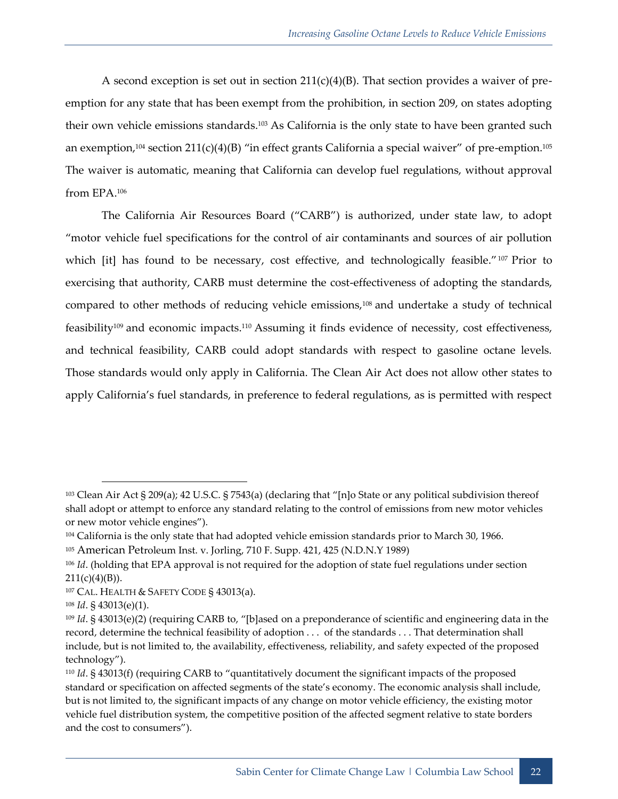A second exception is set out in section  $211(c)(4)(B)$ . That section provides a waiver of preemption for any state that has been exempt from the prohibition, in section 209, on states adopting their own vehicle emissions standards.<sup>103</sup> As California is the only state to have been granted such an exemption,<sup>104</sup> section 211(c)(4)(B) "in effect grants California a special waiver" of pre-emption.<sup>105</sup> The waiver is automatic, meaning that California can develop fuel regulations, without approval from EPA.<sup>106</sup>

The California Air Resources Board ("CARB") is authorized, under state law, to adopt "motor vehicle fuel specifications for the control of air contaminants and sources of air pollution which [it] has found to be necessary, cost effective, and technologically feasible."<sup>107</sup> Prior to exercising that authority, CARB must determine the cost-effectiveness of adopting the standards, compared to other methods of reducing vehicle emissions,<sup>108</sup> and undertake a study of technical feasibility<sup>109</sup> and economic impacts.<sup>110</sup> Assuming it finds evidence of necessity, cost effectiveness, and technical feasibility, CARB could adopt standards with respect to gasoline octane levels. Those standards would only apply in California. The Clean Air Act does not allow other states to apply California's fuel standards, in preference to federal regulations, as is permitted with respect

-

<sup>103</sup> Clean Air Act § 209(a); 42 U.S.C. § 7543(a) (declaring that "[n]o State or any political subdivision thereof shall adopt or attempt to enforce any standard relating to the control of emissions from new motor vehicles or new motor vehicle engines").

<sup>104</sup> California is the only state that had adopted vehicle emission standards prior to March 30, 1966.

<sup>105</sup> American Petroleum Inst. v. Jorling, 710 F. Supp. 421, 425 (N.D.N.Y 1989)

<sup>106</sup> *Id*. (holding that EPA approval is not required for the adoption of state fuel regulations under section  $211(c)(4)(B)$ ).

<sup>107</sup> CAL. HEALTH & SAFETY CODE § 43013(a).

<sup>108</sup> *Id*. § 43013(e)(1).

<sup>109</sup> *Id*. § 43013(e)(2) (requiring CARB to, "[b]ased on a preponderance of scientific and engineering data in the record, determine the technical feasibility of adoption . . . of the standards . . . That determination shall include, but is not limited to, the availability, effectiveness, reliability, and safety expected of the proposed technology").

<sup>110</sup> *Id*. § 43013(f) (requiring CARB to "quantitatively document the significant impacts of the proposed standard or specification on affected segments of the state's economy. The economic analysis shall include, but is not limited to, the significant impacts of any change on motor vehicle efficiency, the existing motor vehicle fuel distribution system, the competitive position of the affected segment relative to state borders and the cost to consumers").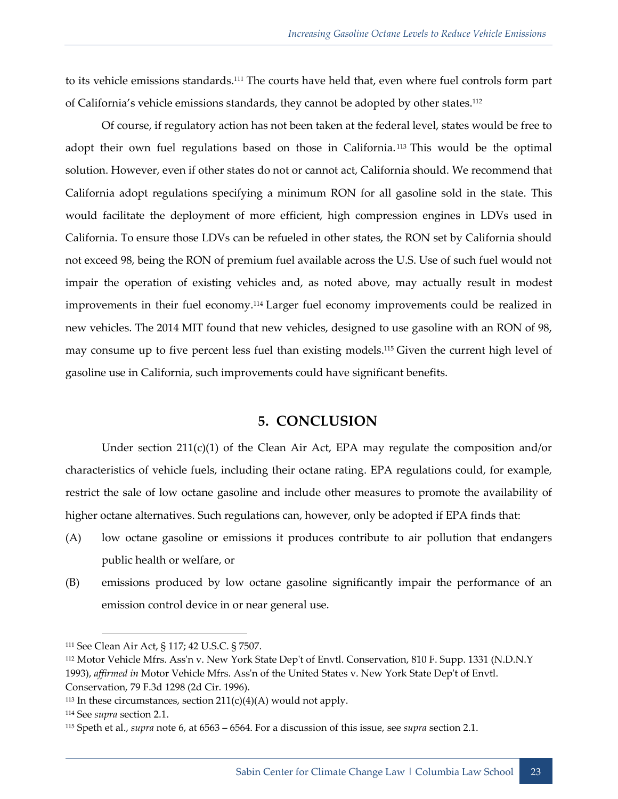to its vehicle emissions standards.<sup>111</sup> The courts have held that, even where fuel controls form part of California's vehicle emissions standards, they cannot be adopted by other states.<sup>112</sup>

Of course, if regulatory action has not been taken at the federal level, states would be free to adopt their own fuel regulations based on those in California. <sup>113</sup> This would be the optimal solution. However, even if other states do not or cannot act, California should. We recommend that California adopt regulations specifying a minimum RON for all gasoline sold in the state. This would facilitate the deployment of more efficient, high compression engines in LDVs used in California. To ensure those LDVs can be refueled in other states, the RON set by California should not exceed 98, being the RON of premium fuel available across the U.S. Use of such fuel would not impair the operation of existing vehicles and, as noted above, may actually result in modest improvements in their fuel economy.<sup>114</sup> Larger fuel economy improvements could be realized in new vehicles. The 2014 MIT found that new vehicles, designed to use gasoline with an RON of 98, may consume up to five percent less fuel than existing models. <sup>115</sup> Given the current high level of gasoline use in California, such improvements could have significant benefits.

#### **5. CONCLUSION**

<span id="page-28-0"></span>Under section 211(c)(1) of the Clean Air Act, EPA may regulate the composition and/or characteristics of vehicle fuels, including their octane rating. EPA regulations could, for example, restrict the sale of low octane gasoline and include other measures to promote the availability of higher octane alternatives. Such regulations can, however, only be adopted if EPA finds that:

- (A) low octane gasoline or emissions it produces contribute to air pollution that endangers public health or welfare, or
- (B) emissions produced by low octane gasoline significantly impair the performance of an emission control device in or near general use.

<sup>111</sup> See Clean Air Act, § 117; 42 U.S.C. § 7507.

<sup>112</sup> Motor Vehicle Mfrs. Ass'n v. New York State Dep't of Envtl. Conservation, 810 F. Supp. 1331 (N.D.N.Y 1993), *affirmed in* Motor Vehicle Mfrs. Ass'n of the United States v. New York State Dep't of Envtl. Conservation, 79 F.3d 1298 (2d Cir. 1996).

 $113$  In these circumstances, section  $211(c)(4)(A)$  would not apply.

<sup>114</sup> See *supra* section [2.1.](#page-10-0)

<sup>115</sup> Speth et al., *supra* note [6,](#page-7-1) at 6563 – 6564. For a discussion of this issue, see *supra* section [2.1.](#page-10-0)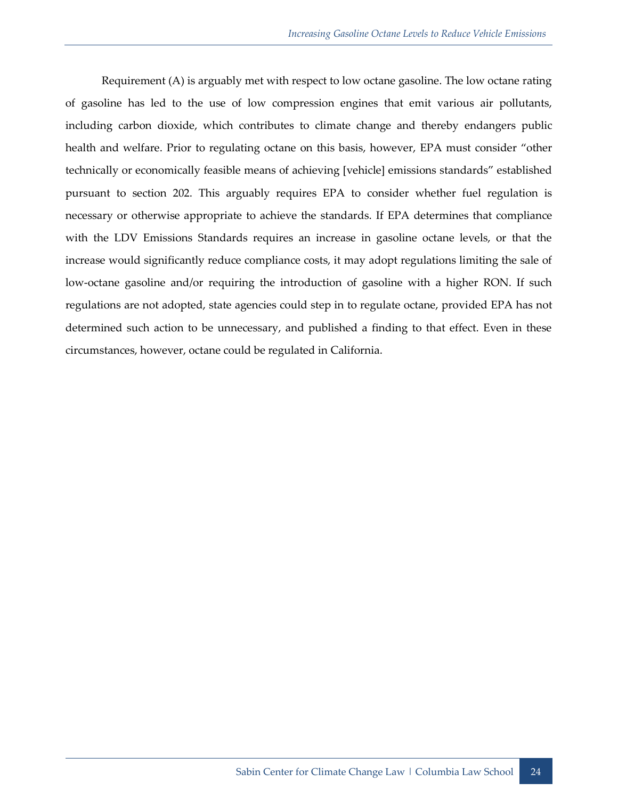Requirement (A) is arguably met with respect to low octane gasoline. The low octane rating of gasoline has led to the use of low compression engines that emit various air pollutants, including carbon dioxide, which contributes to climate change and thereby endangers public health and welfare. Prior to regulating octane on this basis, however, EPA must consider "other technically or economically feasible means of achieving [vehicle] emissions standards" established pursuant to section 202. This arguably requires EPA to consider whether fuel regulation is necessary or otherwise appropriate to achieve the standards. If EPA determines that compliance with the LDV Emissions Standards requires an increase in gasoline octane levels, or that the increase would significantly reduce compliance costs, it may adopt regulations limiting the sale of low-octane gasoline and/or requiring the introduction of gasoline with a higher RON. If such regulations are not adopted, state agencies could step in to regulate octane, provided EPA has not determined such action to be unnecessary, and published a finding to that effect. Even in these circumstances, however, octane could be regulated in California.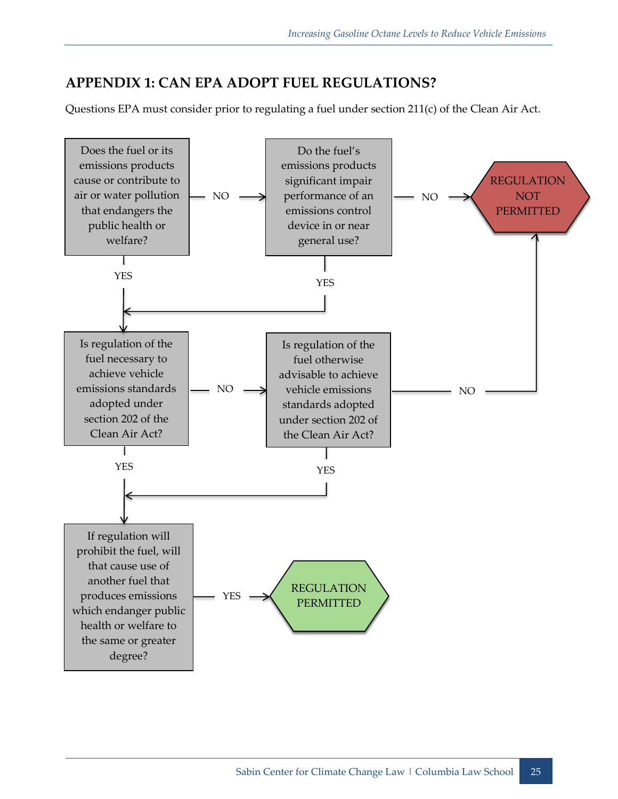## <span id="page-30-0"></span>**APPENDIX 1: CAN EPA ADOPT FUEL REGULATIONS?**

Questions EPA must consider prior to regulating a fuel under section 211(c) of the Clean Air Act.